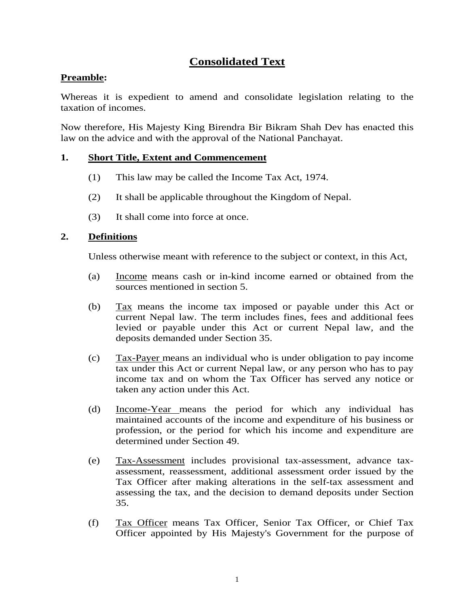# **Consolidated Text**

## **Preamble:**

Whereas it is expedient to amend and consolidate legislation relating to the taxation of incomes.

Now therefore, His Majesty King Birendra Bir Bikram Shah Dev has enacted this law on the advice and with the approval of the National Panchayat.

### **1. Short Title, Extent and Commencement**

- (1) This law may be called the Income Tax Act, 1974.
- (2) It shall be applicable throughout the Kingdom of Nepal.
- (3) It shall come into force at once.

### **2. Definitions**

Unless otherwise meant with reference to the subject or context, in this Act,

- (a) Income means cash or in-kind income earned or obtained from the sources mentioned in section 5.
- (b) Tax means the income tax imposed or payable under this Act or current Nepal law. The term includes fines, fees and additional fees levied or payable under this Act or current Nepal law, and the deposits demanded under Section 35.
- (c) Tax-Payer means an individual who is under obligation to pay income tax under this Act or current Nepal law, or any person who has to pay income tax and on whom the Tax Officer has served any notice or taken any action under this Act.
- (d) Income-Year means the period for which any individual has maintained accounts of the income and expenditure of his business or profession, or the period for which his income and expenditure are determined under Section 49.
- (e) Tax-Assessment includes provisional tax-assessment, advance taxassessment, reassessment, additional assessment order issued by the Tax Officer after making alterations in the self-tax assessment and assessing the tax, and the decision to demand deposits under Section 35.
- (f) Tax Officer means Tax Officer, Senior Tax Officer, or Chief Tax Officer appointed by His Majesty's Government for the purpose of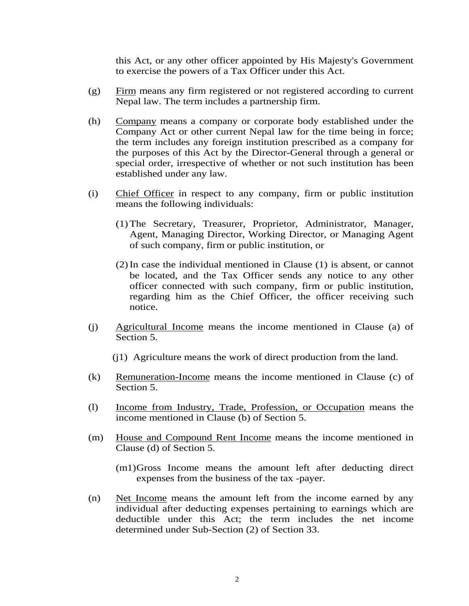this Act, or any other officer appointed by His Majesty's Government to exercise the powers of a Tax Officer under this Act.

- (g) Firm means any firm registered or not registered according to current Nepal law. The term includes a partnership firm.
- (h) Company means a company or corporate body established under the Company Act or other current Nepal law for the time being in force; the term includes any foreign institution prescribed as a company for the purposes of this Act by the Director-General through a general or special order, irrespective of whether or not such institution has been established under any law.
- (i) Chief Officer in respect to any company, firm or public institution means the following individuals:
	- (1) The Secretary, Treasurer, Proprietor, Administrator, Manager, Agent, Managing Director, Working Director, or Managing Agent of such company, firm or public institution, or
	- (2) In case the individual mentioned in Clause (1) is absent, or cannot be located, and the Tax Officer sends any notice to any other officer connected with such company, firm or public institution, regarding him as the Chief Officer, the officer receiving such notice.
- (j) Agricultural Income means the income mentioned in Clause (a) of Section 5.
	- (j1) Agriculture means the work of direct production from the land.
- (k) Remuneration-Income means the income mentioned in Clause (c) of Section 5.
- (l) Income from Industry, Trade, Profession, or Occupation means the income mentioned in Clause (b) of Section 5.
- (m) House and Compound Rent Income means the income mentioned in Clause (d) of Section 5.
	- (m1) Gross Income means the amount left after deducting direct expenses from the business of the tax -payer.
- (n) Net Income means the amount left from the income earned by any individual after deducting expenses pertaining to earnings which are deductible under this Act; the term includes the net income determined under Sub-Section (2) of Section 33.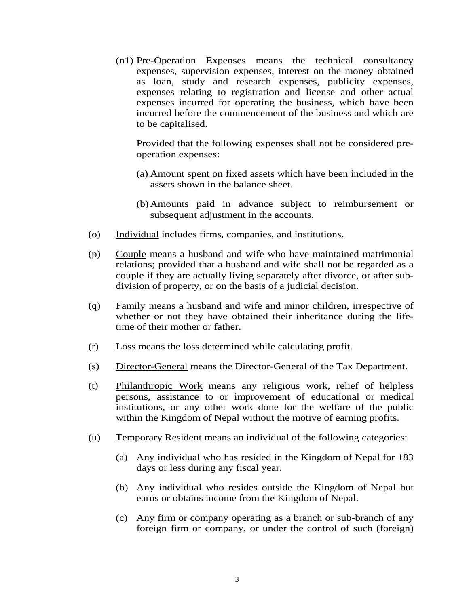(n1) Pre-Operation Expenses means the technical consultancy expenses, supervision expenses, interest on the money obtained as loan, study and research expenses, publicity expenses, expenses relating to registration and license and other actual expenses incurred for operating the business, which have been incurred before the commencement of the business and which are to be capitalised.

 Provided that the following expenses shall not be considered preoperation expenses:

- (a) Amount spent on fixed assets which have been included in the assets shown in the balance sheet.
- (b) Amounts paid in advance subject to reimbursement or subsequent adjustment in the accounts.
- (o) Individual includes firms, companies, and institutions.
- (p) Couple means a husband and wife who have maintained matrimonial relations; provided that a husband and wife shall not be regarded as a couple if they are actually living separately after divorce, or after subdivision of property, or on the basis of a judicial decision.
- (q) Family means a husband and wife and minor children, irrespective of whether or not they have obtained their inheritance during the lifetime of their mother or father.
- (r) Loss means the loss determined while calculating profit.
- (s) Director-General means the Director-General of the Tax Department.
- (t) Philanthropic Work means any religious work, relief of helpless persons, assistance to or improvement of educational or medical institutions, or any other work done for the welfare of the public within the Kingdom of Nepal without the motive of earning profits.
- (u) Temporary Resident means an individual of the following categories:
	- (a) Any individual who has resided in the Kingdom of Nepal for 183 days or less during any fiscal year.
	- (b) Any individual who resides outside the Kingdom of Nepal but earns or obtains income from the Kingdom of Nepal.
	- (c) Any firm or company operating as a branch or sub-branch of any foreign firm or company, or under the control of such (foreign)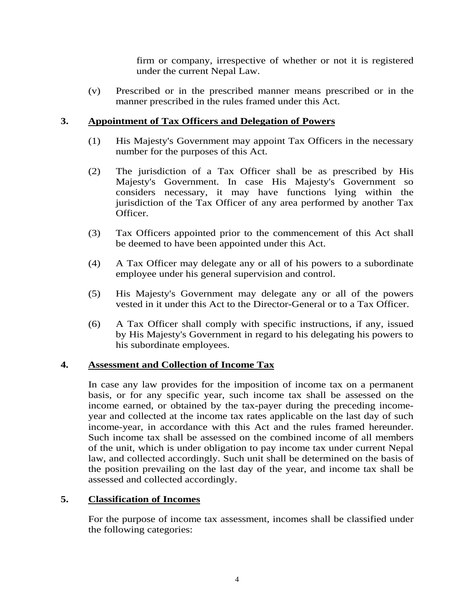firm or company, irrespective of whether or not it is registered under the current Nepal Law.

(v) Prescribed or in the prescribed manner means prescribed or in the manner prescribed in the rules framed under this Act.

## **3. Appointment of Tax Officers and Delegation of Powers**

- (1) His Majesty's Government may appoint Tax Officers in the necessary number for the purposes of this Act.
- (2) The jurisdiction of a Tax Officer shall be as prescribed by His Majesty's Government. In case His Majesty's Government so considers necessary, it may have functions lying within the jurisdiction of the Tax Officer of any area performed by another Tax Officer.
- (3) Tax Officers appointed prior to the commencement of this Act shall be deemed to have been appointed under this Act.
- (4) A Tax Officer may delegate any or all of his powers to a subordinate employee under his general supervision and control.
- (5) His Majesty's Government may delegate any or all of the powers vested in it under this Act to the Director-General or to a Tax Officer.
- (6) A Tax Officer shall comply with specific instructions, if any, issued by His Majesty's Government in regard to his delegating his powers to his subordinate employees.

### **4. Assessment and Collection of Income Tax**

In case any law provides for the imposition of income tax on a permanent basis, or for any specific year, such income tax shall be assessed on the income earned, or obtained by the tax-payer during the preceding incomeyear and collected at the income tax rates applicable on the last day of such income-year, in accordance with this Act and the rules framed hereunder. Such income tax shall be assessed on the combined income of all members of the unit, which is under obligation to pay income tax under current Nepal law, and collected accordingly. Such unit shall be determined on the basis of the position prevailing on the last day of the year, and income tax shall be assessed and collected accordingly.

### **5. Classification of Incomes**

For the purpose of income tax assessment, incomes shall be classified under the following categories: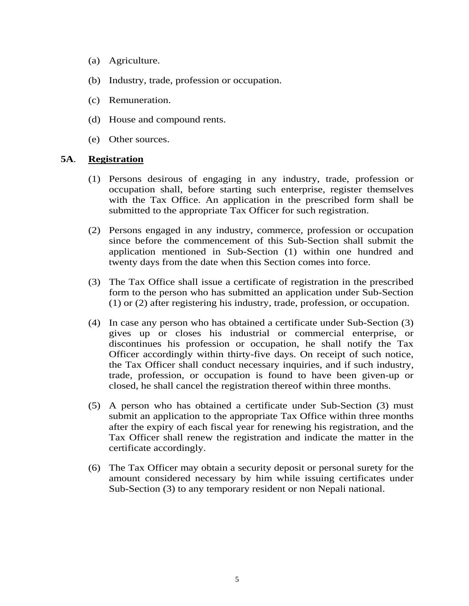- (a) Agriculture.
- (b) Industry, trade, profession or occupation.
- (c) Remuneration.
- (d) House and compound rents.
- (e) Other sources.

### **5A**. **Registration**

- (1) Persons desirous of engaging in any industry, trade, profession or occupation shall, before starting such enterprise, register themselves with the Tax Office. An application in the prescribed form shall be submitted to the appropriate Tax Officer for such registration.
- (2) Persons engaged in any industry, commerce, profession or occupation since before the commencement of this Sub-Section shall submit the application mentioned in Sub-Section (1) within one hundred and twenty days from the date when this Section comes into force.
- (3) The Tax Office shall issue a certificate of registration in the prescribed form to the person who has submitted an application under Sub-Section (1) or (2) after registering his industry, trade, profession, or occupation.
- (4) In case any person who has obtained a certificate under Sub-Section (3) gives up or closes his industrial or commercial enterprise, or discontinues his profession or occupation, he shall notify the Tax Officer accordingly within thirty-five days. On receipt of such notice, the Tax Officer shall conduct necessary inquiries, and if such industry, trade, profession, or occupation is found to have been given-up or closed, he shall cancel the registration thereof within three months.
- (5) A person who has obtained a certificate under Sub-Section (3) must submit an application to the appropriate Tax Office within three months after the expiry of each fiscal year for renewing his registration, and the Tax Officer shall renew the registration and indicate the matter in the certificate accordingly.
- (6) The Tax Officer may obtain a security deposit or personal surety for the amount considered necessary by him while issuing certificates under Sub-Section (3) to any temporary resident or non Nepali national.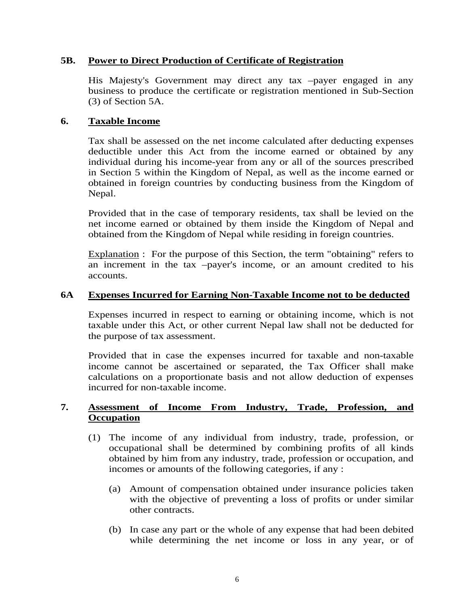### **5B. Power to Direct Production of Certificate of Registration**

 His Majesty's Government may direct any tax –payer engaged in any business to produce the certificate or registration mentioned in Sub-Section (3) of Section 5A.

### **6. Taxable Income**

 Tax shall be assessed on the net income calculated after deducting expenses deductible under this Act from the income earned or obtained by any individual during his income-year from any or all of the sources prescribed in Section 5 within the Kingdom of Nepal, as well as the income earned or obtained in foreign countries by conducting business from the Kingdom of Nepal.

 Provided that in the case of temporary residents, tax shall be levied on the net income earned or obtained by them inside the Kingdom of Nepal and obtained from the Kingdom of Nepal while residing in foreign countries.

Explanation : For the purpose of this Section, the term "obtaining" refers to an increment in the tax –payer's income, or an amount credited to his accounts.

#### **6A Expenses Incurred for Earning Non-Taxable Income not to be deducted**

Expenses incurred in respect to earning or obtaining income, which is not taxable under this Act, or other current Nepal law shall not be deducted for the purpose of tax assessment.

Provided that in case the expenses incurred for taxable and non-taxable income cannot be ascertained or separated, the Tax Officer shall make calculations on a proportionate basis and not allow deduction of expenses incurred for non-taxable income.

#### **7. Assessment of Income From Industry, Trade, Profession, and Occupation**

- (1) The income of any individual from industry, trade, profession, or occupational shall be determined by combining profits of all kinds obtained by him from any industry, trade, profession or occupation, and incomes or amounts of the following categories, if any :
	- (a) Amount of compensation obtained under insurance policies taken with the objective of preventing a loss of profits or under similar other contracts.
	- (b) In case any part or the whole of any expense that had been debited while determining the net income or loss in any year, or of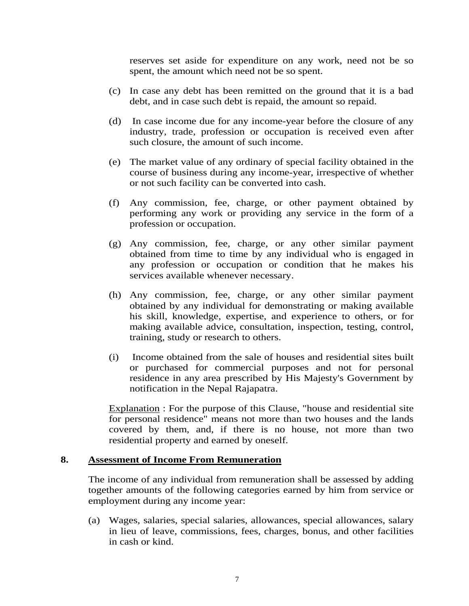reserves set aside for expenditure on any work, need not be so spent, the amount which need not be so spent.

- (c) In case any debt has been remitted on the ground that it is a bad debt, and in case such debt is repaid, the amount so repaid.
- (d) In case income due for any income-year before the closure of any industry, trade, profession or occupation is received even after such closure, the amount of such income.
- (e) The market value of any ordinary of special facility obtained in the course of business during any income-year, irrespective of whether or not such facility can be converted into cash.
- (f) Any commission, fee, charge, or other payment obtained by performing any work or providing any service in the form of a profession or occupation.
- (g) Any commission, fee, charge, or any other similar payment obtained from time to time by any individual who is engaged in any profession or occupation or condition that he makes his services available whenever necessary.
- (h) Any commission, fee, charge, or any other similar payment obtained by any individual for demonstrating or making available his skill, knowledge, expertise, and experience to others, or for making available advice, consultation, inspection, testing, control, training, study or research to others.
- (i) Income obtained from the sale of houses and residential sites built or purchased for commercial purposes and not for personal residence in any area prescribed by His Majesty's Government by notification in the Nepal Rajapatra.

Explanation : For the purpose of this Clause, "house and residential site for personal residence" means not more than two houses and the lands covered by them, and, if there is no house, not more than two residential property and earned by oneself.

#### **8. Assessment of Income From Remuneration**

The income of any individual from remuneration shall be assessed by adding together amounts of the following categories earned by him from service or employment during any income year:

(a) Wages, salaries, special salaries, allowances, special allowances, salary in lieu of leave, commissions, fees, charges, bonus, and other facilities in cash or kind.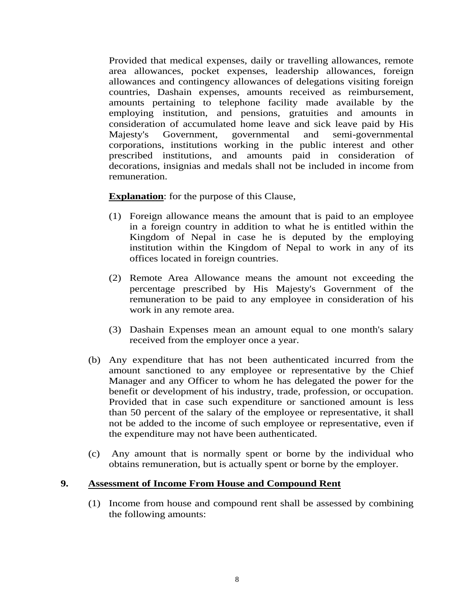Provided that medical expenses, daily or travelling allowances, remote area allowances, pocket expenses, leadership allowances, foreign allowances and contingency allowances of delegations visiting foreign countries, Dashain expenses, amounts received as reimbursement, amounts pertaining to telephone facility made available by the employing institution, and pensions, gratuities and amounts in consideration of accumulated home leave and sick leave paid by His Majesty's Government, governmental and semi-governmental corporations, institutions working in the public interest and other prescribed institutions, and amounts paid in consideration of decorations, insignias and medals shall not be included in income from remuneration.

**Explanation**: for the purpose of this Clause,

- (1) Foreign allowance means the amount that is paid to an employee in a foreign country in addition to what he is entitled within the Kingdom of Nepal in case he is deputed by the employing institution within the Kingdom of Nepal to work in any of its offices located in foreign countries.
- (2) Remote Area Allowance means the amount not exceeding the percentage prescribed by His Majesty's Government of the remuneration to be paid to any employee in consideration of his work in any remote area.
- (3) Dashain Expenses mean an amount equal to one month's salary received from the employer once a year.
- (b) Any expenditure that has not been authenticated incurred from the amount sanctioned to any employee or representative by the Chief Manager and any Officer to whom he has delegated the power for the benefit or development of his industry, trade, profession, or occupation. Provided that in case such expenditure or sanctioned amount is less than 50 percent of the salary of the employee or representative, it shall not be added to the income of such employee or representative, even if the expenditure may not have been authenticated.
- (c) Any amount that is normally spent or borne by the individual who obtains remuneration, but is actually spent or borne by the employer.

#### **9. Assessment of Income From House and Compound Rent**

(1) Income from house and compound rent shall be assessed by combining the following amounts: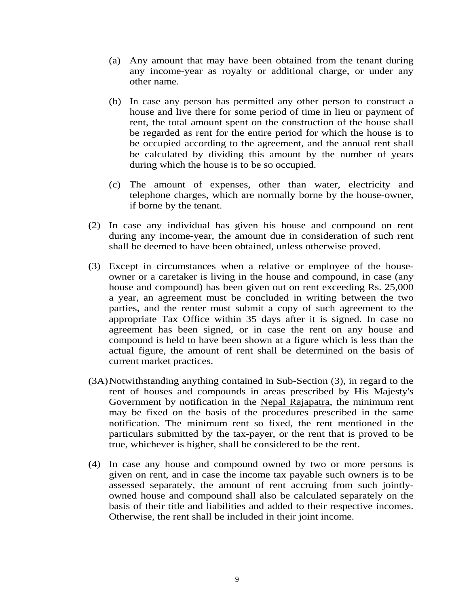- (a) Any amount that may have been obtained from the tenant during any income-year as royalty or additional charge, or under any other name.
- (b) In case any person has permitted any other person to construct a house and live there for some period of time in lieu or payment of rent, the total amount spent on the construction of the house shall be regarded as rent for the entire period for which the house is to be occupied according to the agreement, and the annual rent shall be calculated by dividing this amount by the number of years during which the house is to be so occupied.
- (c) The amount of expenses, other than water, electricity and telephone charges, which are normally borne by the house-owner, if borne by the tenant.
- (2) In case any individual has given his house and compound on rent during any income-year, the amount due in consideration of such rent shall be deemed to have been obtained, unless otherwise proved.
- (3) Except in circumstances when a relative or employee of the houseowner or a caretaker is living in the house and compound, in case (any house and compound) has been given out on rent exceeding Rs. 25,000 a year, an agreement must be concluded in writing between the two parties, and the renter must submit a copy of such agreement to the appropriate Tax Office within 35 days after it is signed. In case no agreement has been signed, or in case the rent on any house and compound is held to have been shown at a figure which is less than the actual figure, the amount of rent shall be determined on the basis of current market practices.
- (3A) Notwithstanding anything contained in Sub-Section (3), in regard to the rent of houses and compounds in areas prescribed by His Majesty's Government by notification in the Nepal Rajapatra, the minimum rent may be fixed on the basis of the procedures prescribed in the same notification. The minimum rent so fixed, the rent mentioned in the particulars submitted by the tax-payer, or the rent that is proved to be true, whichever is higher, shall be considered to be the rent.
- (4) In case any house and compound owned by two or more persons is given on rent, and in case the income tax payable such owners is to be assessed separately, the amount of rent accruing from such jointlyowned house and compound shall also be calculated separately on the basis of their title and liabilities and added to their respective incomes. Otherwise, the rent shall be included in their joint income.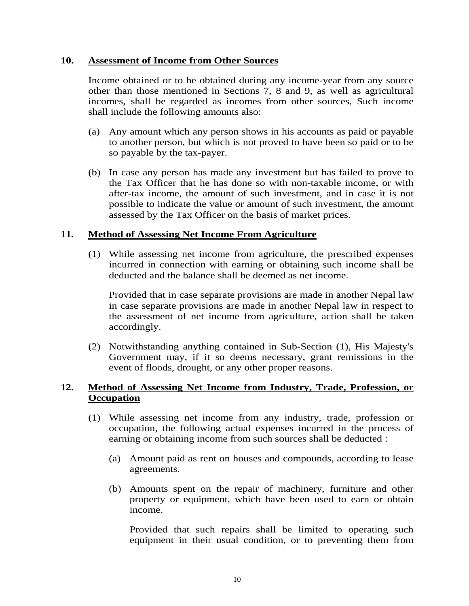#### **10. Assessment of Income from Other Sources**

Income obtained or to he obtained during any income-year from any source other than those mentioned in Sections 7, 8 and 9, as well as agricultural incomes, shall be regarded as incomes from other sources, Such income shall include the following amounts also:

- (a) Any amount which any person shows in his accounts as paid or payable to another person, but which is not proved to have been so paid or to be so payable by the tax-payer.
- (b) In case any person has made any investment but has failed to prove to the Tax Officer that he has done so with non-taxable income, or with after-tax income, the amount of such investment, and in case it is not possible to indicate the value or amount of such investment, the amount assessed by the Tax Officer on the basis of market prices.

### **11. Method of Assessing Net Income From Agriculture**

(1) While assessing net income from agriculture, the prescribed expenses incurred in connection with earning or obtaining such income shall be deducted and the balance shall be deemed as net income.

Provided that in case separate provisions are made in another Nepal law in case separate provisions are made in another Nepal law in respect to the assessment of net income from agriculture, action shall be taken accordingly.

(2) Notwithstanding anything contained in Sub-Section (1), His Majesty's Government may, if it so deems necessary, grant remissions in the event of floods, drought, or any other proper reasons.

### **12. Method of Assessing Net Income from Industry, Trade, Profession, or Occupation**

- (1) While assessing net income from any industry, trade, profession or occupation, the following actual expenses incurred in the process of earning or obtaining income from such sources shall be deducted :
	- (a) Amount paid as rent on houses and compounds, according to lease agreements.
	- (b) Amounts spent on the repair of machinery, furniture and other property or equipment, which have been used to earn or obtain income.

Provided that such repairs shall be limited to operating such equipment in their usual condition, or to preventing them from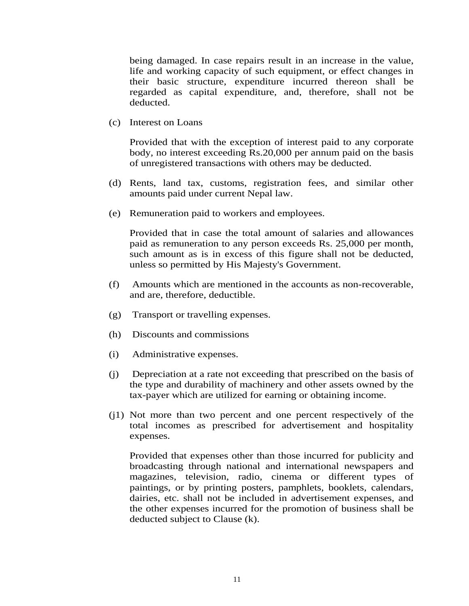being damaged. In case repairs result in an increase in the value, life and working capacity of such equipment, or effect changes in their basic structure, expenditure incurred thereon shall be regarded as capital expenditure, and, therefore, shall not be deducted.

(c) Interest on Loans

Provided that with the exception of interest paid to any corporate body, no interest exceeding Rs.20,000 per annum paid on the basis of unregistered transactions with others may be deducted.

- (d) Rents, land tax, customs, registration fees, and similar other amounts paid under current Nepal law.
- (e) Remuneration paid to workers and employees.

Provided that in case the total amount of salaries and allowances paid as remuneration to any person exceeds Rs. 25,000 per month, such amount as is in excess of this figure shall not be deducted, unless so permitted by His Majesty's Government.

- (f) Amounts which are mentioned in the accounts as non-recoverable, and are, therefore, deductible.
- (g) Transport or travelling expenses.
- (h) Discounts and commissions
- (i) Administrative expenses.
- (j) Depreciation at a rate not exceeding that prescribed on the basis of the type and durability of machinery and other assets owned by the tax-payer which are utilized for earning or obtaining income.
- (j1) Not more than two percent and one percent respectively of the total incomes as prescribed for advertisement and hospitality expenses.

 Provided that expenses other than those incurred for publicity and broadcasting through national and international newspapers and magazines, television, radio, cinema or different types of paintings, or by printing posters, pamphlets, booklets, calendars, dairies, etc. shall not be included in advertisement expenses, and the other expenses incurred for the promotion of business shall be deducted subject to Clause (k).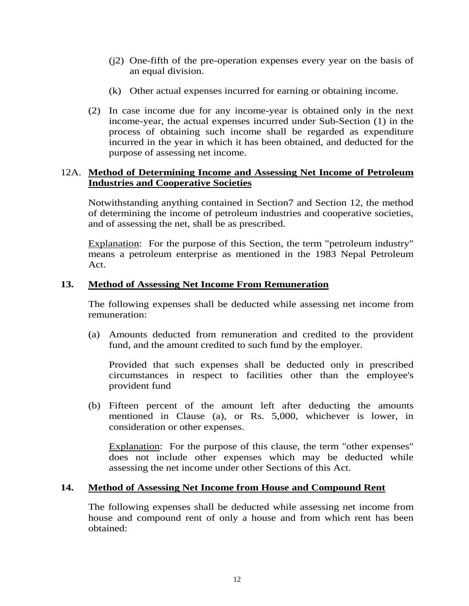- (j2) One-fifth of the pre-operation expenses every year on the basis of an equal division.
- (k) Other actual expenses incurred for earning or obtaining income.
- (2) In case income due for any income-year is obtained only in the next income-year, the actual expenses incurred under Sub-Section (1) in the process of obtaining such income shall be regarded as expenditure incurred in the year in which it has been obtained, and deducted for the purpose of assessing net income.

### 12A. **Method of Determining Income and Assessing Net Income of Petroleum Industries and Cooperative Societies**

 Notwithstanding anything contained in Section7 and Section 12, the method of determining the income of petroleum industries and cooperative societies, and of assessing the net, shall be as prescribed.

 Explanation: For the purpose of this Section, the term "petroleum industry" means a petroleum enterprise as mentioned in the 1983 Nepal Petroleum Act.

### **13. Method of Assessing Net Income From Remuneration**

The following expenses shall be deducted while assessing net income from remuneration:

(a) Amounts deducted from remuneration and credited to the provident fund, and the amount credited to such fund by the employer.

Provided that such expenses shall be deducted only in prescribed circumstances in respect to facilities other than the employee's provident fund

(b) Fifteen percent of the amount left after deducting the amounts mentioned in Clause (a), or Rs. 5,000, whichever is lower, in consideration or other expenses.

Explanation: For the purpose of this clause, the term "other expenses" does not include other expenses which may be deducted while assessing the net income under other Sections of this Act.

### **14. Method of Assessing Net Income from House and Compound Rent**

The following expenses shall be deducted while assessing net income from house and compound rent of only a house and from which rent has been obtained: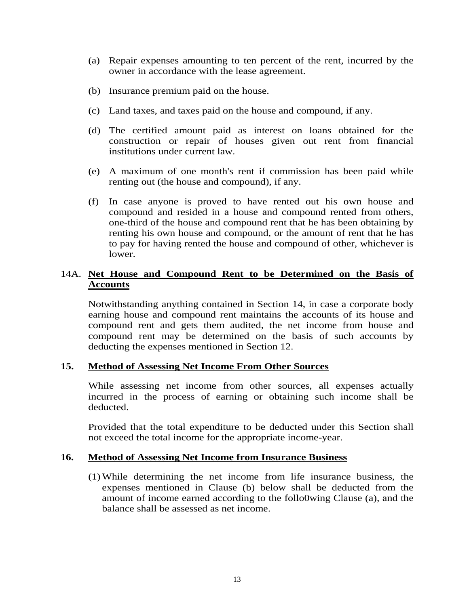- (a) Repair expenses amounting to ten percent of the rent, incurred by the owner in accordance with the lease agreement.
- (b) Insurance premium paid on the house.
- (c) Land taxes, and taxes paid on the house and compound, if any.
- (d) The certified amount paid as interest on loans obtained for the construction or repair of houses given out rent from financial institutions under current law.
- (e) A maximum of one month's rent if commission has been paid while renting out (the house and compound), if any.
- (f) In case anyone is proved to have rented out his own house and compound and resided in a house and compound rented from others, one-third of the house and compound rent that he has been obtaining by renting his own house and compound, or the amount of rent that he has to pay for having rented the house and compound of other, whichever is lower.

### 14A. **Net House and Compound Rent to be Determined on the Basis of Accounts**

 Notwithstanding anything contained in Section 14, in case a corporate body earning house and compound rent maintains the accounts of its house and compound rent and gets them audited, the net income from house and compound rent may be determined on the basis of such accounts by deducting the expenses mentioned in Section 12.

#### **15. Method of Assessing Net Income From Other Sources**

While assessing net income from other sources, all expenses actually incurred in the process of earning or obtaining such income shall be deducted.

Provided that the total expenditure to be deducted under this Section shall not exceed the total income for the appropriate income-year.

#### **16. Method of Assessing Net Income from Insurance Business**

(1) While determining the net income from life insurance business, the expenses mentioned in Clause (b) below shall be deducted from the amount of income earned according to the follo0wing Clause (a), and the balance shall be assessed as net income.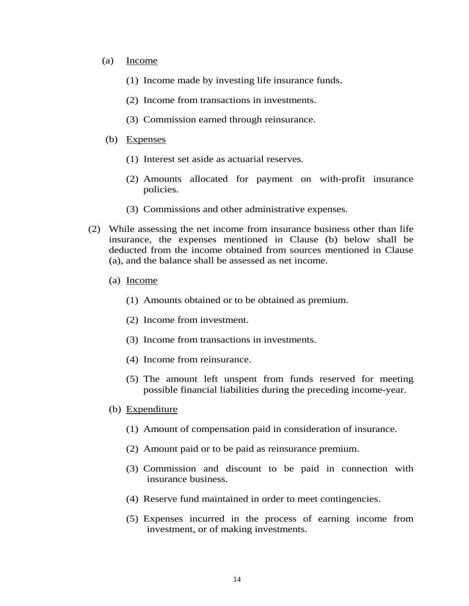#### (a) Income

- (1) Income made by investing life insurance funds.
- (2) Income from transactions in investments.
- (3) Commission earned through reinsurance.

#### (b) Expenses

- (1) Interest set aside as actuarial reserves.
- (2) Amounts allocated for payment on with-profit insurance policies.
- (3) Commissions and other administrative expenses.
- (2) While assessing the net income from insurance business other than life insurance, the expenses mentioned in Clause (b) below shall be deducted from the income obtained from sources mentioned in Clause (a), and the balance shall be assessed as net income.
	- (a) Income
		- (1) Amounts obtained or to be obtained as premium.
		- (2) Income from investment.
		- (3) Income from transactions in investments.
		- (4) Income from reinsurance.
		- (5) The amount left unspent from funds reserved for meeting possible financial liabilities during the preceding income-year.
	- (b) Expenditure
		- (1) Amount of compensation paid in consideration of insurance.
		- (2) Amount paid or to be paid as reinsurance premium.
		- (3) Commission and discount to be paid in connection with insurance business.
		- (4) Reserve fund maintained in order to meet contingencies.
		- (5) Expenses incurred in the process of earning income from investment, or of making investments.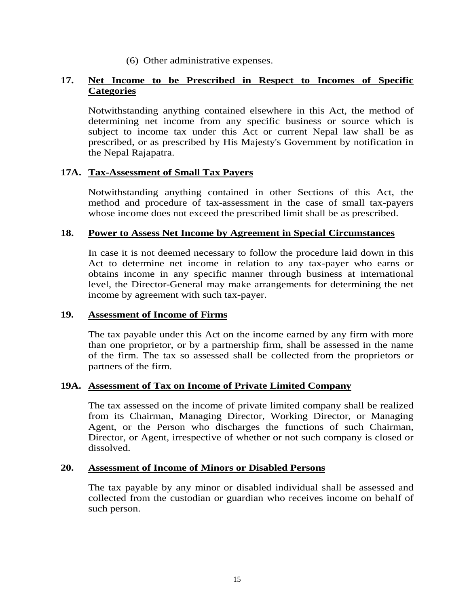(6) Other administrative expenses.

## **17. Net Income to be Prescribed in Respect to Incomes of Specific Categories**

 Notwithstanding anything contained elsewhere in this Act, the method of determining net income from any specific business or source which is subject to income tax under this Act or current Nepal law shall be as prescribed, or as prescribed by His Majesty's Government by notification in the Nepal Rajapatra.

### **17A. Tax-Assessment of Small Tax Payers**

 Notwithstanding anything contained in other Sections of this Act, the method and procedure of tax-assessment in the case of small tax-payers whose income does not exceed the prescribed limit shall be as prescribed.

#### **18. Power to Assess Net Income by Agreement in Special Circumstances**

In case it is not deemed necessary to follow the procedure laid down in this Act to determine net income in relation to any tax-payer who earns or obtains income in any specific manner through business at international level, the Director-General may make arrangements for determining the net income by agreement with such tax-payer.

#### **19. Assessment of Income of Firms**

The tax payable under this Act on the income earned by any firm with more than one proprietor, or by a partnership firm, shall be assessed in the name of the firm. The tax so assessed shall be collected from the proprietors or partners of the firm.

#### **19A. Assessment of Tax on Income of Private Limited Company**

 The tax assessed on the income of private limited company shall be realized from its Chairman, Managing Director, Working Director, or Managing Agent, or the Person who discharges the functions of such Chairman, Director, or Agent, irrespective of whether or not such company is closed or dissolved.

## **20. Assessment of Income of Minors or Disabled Persons**

The tax payable by any minor or disabled individual shall be assessed and collected from the custodian or guardian who receives income on behalf of such person.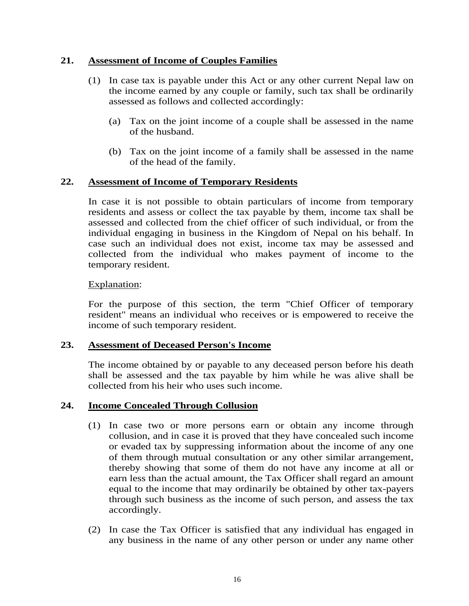#### **21. Assessment of Income of Couples Families**

- (1) In case tax is payable under this Act or any other current Nepal law on the income earned by any couple or family, such tax shall be ordinarily assessed as follows and collected accordingly:
	- (a) Tax on the joint income of a couple shall be assessed in the name of the husband.
	- (b) Tax on the joint income of a family shall be assessed in the name of the head of the family.

#### **22. Assessment of Income of Temporary Residents**

In case it is not possible to obtain particulars of income from temporary residents and assess or collect the tax payable by them, income tax shall be assessed and collected from the chief officer of such individual, or from the individual engaging in business in the Kingdom of Nepal on his behalf. In case such an individual does not exist, income tax may be assessed and collected from the individual who makes payment of income to the temporary resident.

#### Explanation:

For the purpose of this section, the term "Chief Officer of temporary resident" means an individual who receives or is empowered to receive the income of such temporary resident.

#### **23. Assessment of Deceased Person's Income**

The income obtained by or payable to any deceased person before his death shall be assessed and the tax payable by him while he was alive shall be collected from his heir who uses such income.

### **24. Income Concealed Through Collusion**

- (1) In case two or more persons earn or obtain any income through collusion, and in case it is proved that they have concealed such income or evaded tax by suppressing information about the income of any one of them through mutual consultation or any other similar arrangement, thereby showing that some of them do not have any income at all or earn less than the actual amount, the Tax Officer shall regard an amount equal to the income that may ordinarily be obtained by other tax-payers through such business as the income of such person, and assess the tax accordingly.
- (2) In case the Tax Officer is satisfied that any individual has engaged in any business in the name of any other person or under any name other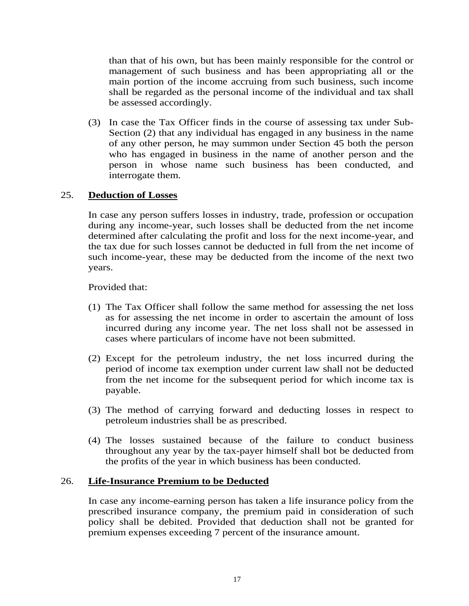than that of his own, but has been mainly responsible for the control or management of such business and has been appropriating all or the main portion of the income accruing from such business, such income shall be regarded as the personal income of the individual and tax shall be assessed accordingly.

(3) In case the Tax Officer finds in the course of assessing tax under Sub-Section (2) that any individual has engaged in any business in the name of any other person, he may summon under Section 45 both the person who has engaged in business in the name of another person and the person in whose name such business has been conducted, and interrogate them.

### 25. **Deduction of Losses**

 In case any person suffers losses in industry, trade, profession or occupation during any income-year, such losses shall be deducted from the net income determined after calculating the profit and loss for the next income-year, and the tax due for such losses cannot be deducted in full from the net income of such income-year, these may be deducted from the income of the next two years.

Provided that:

- (1) The Tax Officer shall follow the same method for assessing the net loss as for assessing the net income in order to ascertain the amount of loss incurred during any income year. The net loss shall not be assessed in cases where particulars of income have not been submitted.
- (2) Except for the petroleum industry, the net loss incurred during the period of income tax exemption under current law shall not be deducted from the net income for the subsequent period for which income tax is payable.
- (3) The method of carrying forward and deducting losses in respect to petroleum industries shall be as prescribed.
- (4) The losses sustained because of the failure to conduct business throughout any year by the tax-payer himself shall bot be deducted from the profits of the year in which business has been conducted.

#### 26. **Life-Insurance Premium to be Deducted**

 In case any income-earning person has taken a life insurance policy from the prescribed insurance company, the premium paid in consideration of such policy shall be debited. Provided that deduction shall not be granted for premium expenses exceeding 7 percent of the insurance amount.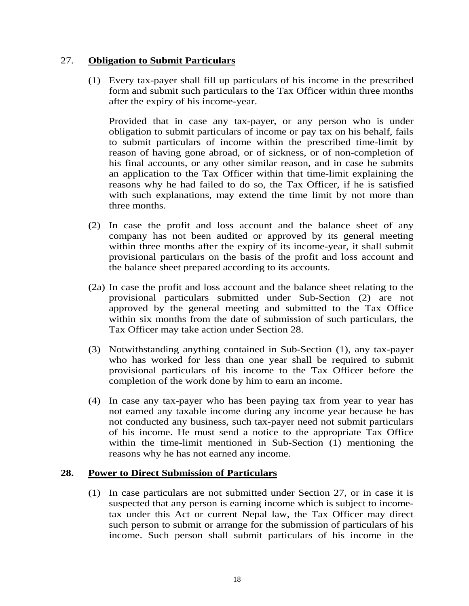### 27. **Obligation to Submit Particulars**

(1) Every tax-payer shall fill up particulars of his income in the prescribed form and submit such particulars to the Tax Officer within three months after the expiry of his income-year.

Provided that in case any tax-payer, or any person who is under obligation to submit particulars of income or pay tax on his behalf, fails to submit particulars of income within the prescribed time-limit by reason of having gone abroad, or of sickness, or of non-completion of his final accounts, or any other similar reason, and in case he submits an application to the Tax Officer within that time-limit explaining the reasons why he had failed to do so, the Tax Officer, if he is satisfied with such explanations, may extend the time limit by not more than three months.

- (2) In case the profit and loss account and the balance sheet of any company has not been audited or approved by its general meeting within three months after the expiry of its income-year, it shall submit provisional particulars on the basis of the profit and loss account and the balance sheet prepared according to its accounts.
- (2a) In case the profit and loss account and the balance sheet relating to the provisional particulars submitted under Sub-Section (2) are not approved by the general meeting and submitted to the Tax Office within six months from the date of submission of such particulars, the Tax Officer may take action under Section 28.
- (3) Notwithstanding anything contained in Sub-Section (1), any tax-payer who has worked for less than one year shall be required to submit provisional particulars of his income to the Tax Officer before the completion of the work done by him to earn an income.
- (4) In case any tax-payer who has been paying tax from year to year has not earned any taxable income during any income year because he has not conducted any business, such tax-payer need not submit particulars of his income. He must send a notice to the appropriate Tax Office within the time-limit mentioned in Sub-Section (1) mentioning the reasons why he has not earned any income.

### **28. Power to Direct Submission of Particulars**

(1) In case particulars are not submitted under Section 27, or in case it is suspected that any person is earning income which is subject to incometax under this Act or current Nepal law, the Tax Officer may direct such person to submit or arrange for the submission of particulars of his income. Such person shall submit particulars of his income in the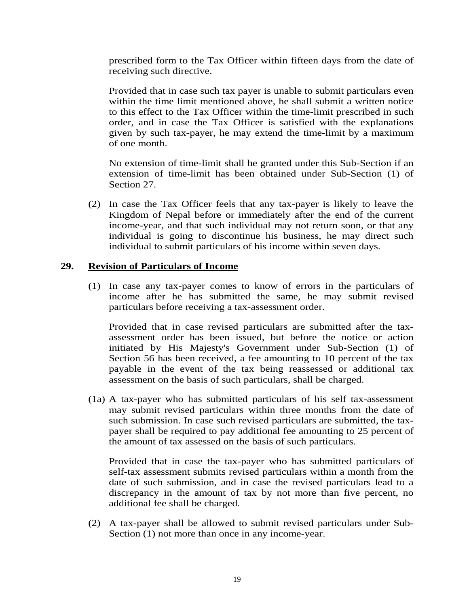prescribed form to the Tax Officer within fifteen days from the date of receiving such directive.

Provided that in case such tax payer is unable to submit particulars even within the time limit mentioned above, he shall submit a written notice to this effect to the Tax Officer within the time-limit prescribed in such order, and in case the Tax Officer is satisfied with the explanations given by such tax-payer, he may extend the time-limit by a maximum of one month.

No extension of time-limit shall he granted under this Sub-Section if an extension of time-limit has been obtained under Sub-Section (1) of Section 27.

(2) In case the Tax Officer feels that any tax-payer is likely to leave the Kingdom of Nepal before or immediately after the end of the current income-year, and that such individual may not return soon, or that any individual is going to discontinue his business, he may direct such individual to submit particulars of his income within seven days.

#### **29. Revision of Particulars of Income**

(1) In case any tax-payer comes to know of errors in the particulars of income after he has submitted the same, he may submit revised particulars before receiving a tax-assessment order.

Provided that in case revised particulars are submitted after the taxassessment order has been issued, but before the notice or action initiated by His Majesty's Government under Sub-Section (1) of Section 56 has been received, a fee amounting to 10 percent of the tax payable in the event of the tax being reassessed or additional tax assessment on the basis of such particulars, shall be charged.

(1a) A tax-payer who has submitted particulars of his self tax-assessment may submit revised particulars within three months from the date of such submission. In case such revised particulars are submitted, the taxpayer shall be required to pay additional fee amounting to 25 percent of the amount of tax assessed on the basis of such particulars.

 Provided that in case the tax-payer who has submitted particulars of self-tax assessment submits revised particulars within a month from the date of such submission, and in case the revised particulars lead to a discrepancy in the amount of tax by not more than five percent, no additional fee shall be charged.

(2) A tax-payer shall be allowed to submit revised particulars under Sub-Section  $(1)$  not more than once in any income-year.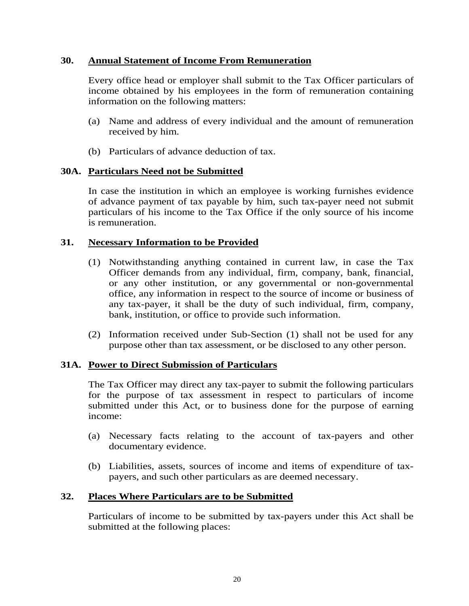#### **30. Annual Statement of Income From Remuneration**

Every office head or employer shall submit to the Tax Officer particulars of income obtained by his employees in the form of remuneration containing information on the following matters:

- (a) Name and address of every individual and the amount of remuneration received by him.
- (b) Particulars of advance deduction of tax.

### **30A. Particulars Need not be Submitted**

 In case the institution in which an employee is working furnishes evidence of advance payment of tax payable by him, such tax-payer need not submit particulars of his income to the Tax Office if the only source of his income is remuneration.

### **31. Necessary Information to be Provided**

- (1) Notwithstanding anything contained in current law, in case the Tax Officer demands from any individual, firm, company, bank, financial, or any other institution, or any governmental or non-governmental office, any information in respect to the source of income or business of any tax-payer, it shall be the duty of such individual, firm, company, bank, institution, or office to provide such information.
- (2) Information received under Sub-Section (1) shall not be used for any purpose other than tax assessment, or be disclosed to any other person.

### **31A. Power to Direct Submission of Particulars**

 The Tax Officer may direct any tax-payer to submit the following particulars for the purpose of tax assessment in respect to particulars of income submitted under this Act, or to business done for the purpose of earning income:

- (a) Necessary facts relating to the account of tax-payers and other documentary evidence.
- (b) Liabilities, assets, sources of income and items of expenditure of taxpayers, and such other particulars as are deemed necessary.

### **32. Places Where Particulars are to be Submitted**

Particulars of income to be submitted by tax-payers under this Act shall be submitted at the following places: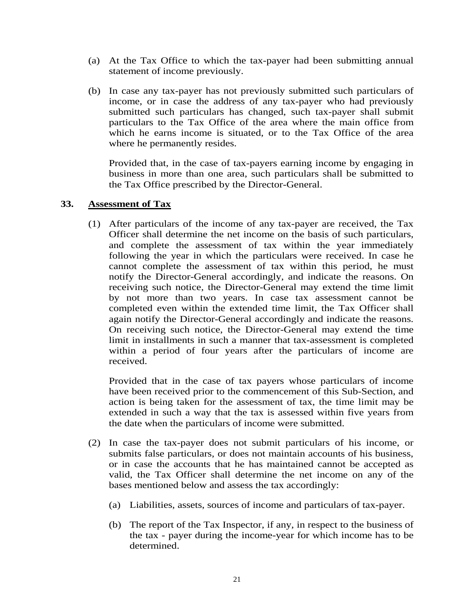- (a) At the Tax Office to which the tax-payer had been submitting annual statement of income previously.
- (b) In case any tax-payer has not previously submitted such particulars of income, or in case the address of any tax-payer who had previously submitted such particulars has changed, such tax-payer shall submit particulars to the Tax Office of the area where the main office from which he earns income is situated, or to the Tax Office of the area where he permanently resides.

Provided that, in the case of tax-payers earning income by engaging in business in more than one area, such particulars shall be submitted to the Tax Office prescribed by the Director-General.

### **33. Assessment of Tax**

(1) After particulars of the income of any tax-payer are received, the Tax Officer shall determine the net income on the basis of such particulars, and complete the assessment of tax within the year immediately following the year in which the particulars were received. In case he cannot complete the assessment of tax within this period, he must notify the Director-General accordingly, and indicate the reasons. On receiving such notice, the Director-General may extend the time limit by not more than two years. In case tax assessment cannot be completed even within the extended time limit, the Tax Officer shall again notify the Director-General accordingly and indicate the reasons. On receiving such notice, the Director-General may extend the time limit in installments in such a manner that tax-assessment is completed within a period of four years after the particulars of income are received.

Provided that in the case of tax payers whose particulars of income have been received prior to the commencement of this Sub-Section, and action is being taken for the assessment of tax, the time limit may be extended in such a way that the tax is assessed within five years from the date when the particulars of income were submitted.

- (2) In case the tax-payer does not submit particulars of his income, or submits false particulars, or does not maintain accounts of his business, or in case the accounts that he has maintained cannot be accepted as valid, the Tax Officer shall determine the net income on any of the bases mentioned below and assess the tax accordingly:
	- (a) Liabilities, assets, sources of income and particulars of tax-payer.
	- (b) The report of the Tax Inspector, if any, in respect to the business of the tax - payer during the income-year for which income has to be determined.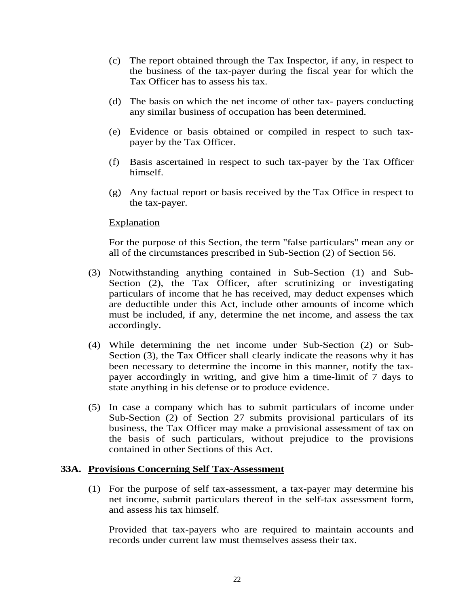- (c) The report obtained through the Tax Inspector, if any, in respect to the business of the tax-payer during the fiscal year for which the Tax Officer has to assess his tax.
- (d) The basis on which the net income of other tax- payers conducting any similar business of occupation has been determined.
- (e) Evidence or basis obtained or compiled in respect to such taxpayer by the Tax Officer.
- (f) Basis ascertained in respect to such tax-payer by the Tax Officer himself.
- (g) Any factual report or basis received by the Tax Office in respect to the tax-payer.

#### Explanation

For the purpose of this Section, the term "false particulars" mean any or all of the circumstances prescribed in Sub-Section (2) of Section 56.

- (3) Notwithstanding anything contained in Sub-Section (1) and Sub-Section (2), the Tax Officer, after scrutinizing or investigating particulars of income that he has received, may deduct expenses which are deductible under this Act, include other amounts of income which must be included, if any, determine the net income, and assess the tax accordingly.
- (4) While determining the net income under Sub-Section (2) or Sub-Section (3), the Tax Officer shall clearly indicate the reasons why it has been necessary to determine the income in this manner, notify the taxpayer accordingly in writing, and give him a time-limit of 7 days to state anything in his defense or to produce evidence.
- (5) In case a company which has to submit particulars of income under Sub-Section (2) of Section 27 submits provisional particulars of its business, the Tax Officer may make a provisional assessment of tax on the basis of such particulars, without prejudice to the provisions contained in other Sections of this Act.

#### **33A. Provisions Concerning Self Tax-Assessment**

(1) For the purpose of self tax-assessment, a tax-payer may determine his net income, submit particulars thereof in the self-tax assessment form, and assess his tax himself.

Provided that tax-payers who are required to maintain accounts and records under current law must themselves assess their tax.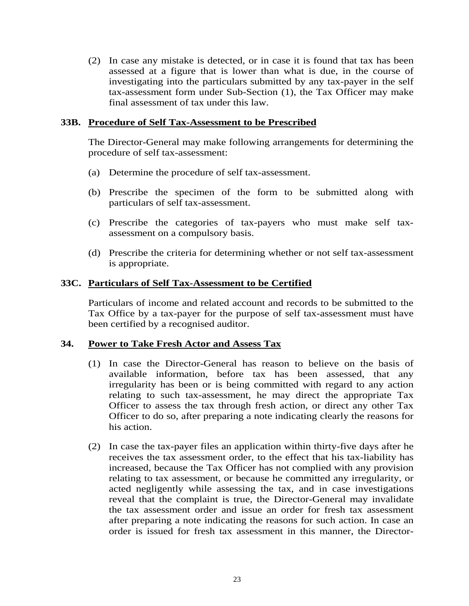(2) In case any mistake is detected, or in case it is found that tax has been assessed at a figure that is lower than what is due, in the course of investigating into the particulars submitted by any tax-payer in the self tax-assessment form under Sub-Section (1), the Tax Officer may make final assessment of tax under this law.

#### **33B. Procedure of Self Tax-Assessment to be Prescribed**

 The Director-General may make following arrangements for determining the procedure of self tax-assessment:

- (a) Determine the procedure of self tax-assessment.
- (b) Prescribe the specimen of the form to be submitted along with particulars of self tax-assessment.
- (c) Prescribe the categories of tax-payers who must make self taxassessment on a compulsory basis.
- (d) Prescribe the criteria for determining whether or not self tax-assessment is appropriate.

#### **33C. Particulars of Self Tax-Assessment to be Certified**

 Particulars of income and related account and records to be submitted to the Tax Office by a tax-payer for the purpose of self tax-assessment must have been certified by a recognised auditor.

#### **34. Power to Take Fresh Actor and Assess Tax**

- (1) In case the Director-General has reason to believe on the basis of available information, before tax has been assessed, that any irregularity has been or is being committed with regard to any action relating to such tax-assessment, he may direct the appropriate Tax Officer to assess the tax through fresh action, or direct any other Tax Officer to do so, after preparing a note indicating clearly the reasons for his action.
- (2) In case the tax-payer files an application within thirty-five days after he receives the tax assessment order, to the effect that his tax-liability has increased, because the Tax Officer has not complied with any provision relating to tax assessment, or because he committed any irregularity, or acted negligently while assessing the tax, and in case investigations reveal that the complaint is true, the Director-General may invalidate the tax assessment order and issue an order for fresh tax assessment after preparing a note indicating the reasons for such action. In case an order is issued for fresh tax assessment in this manner, the Director-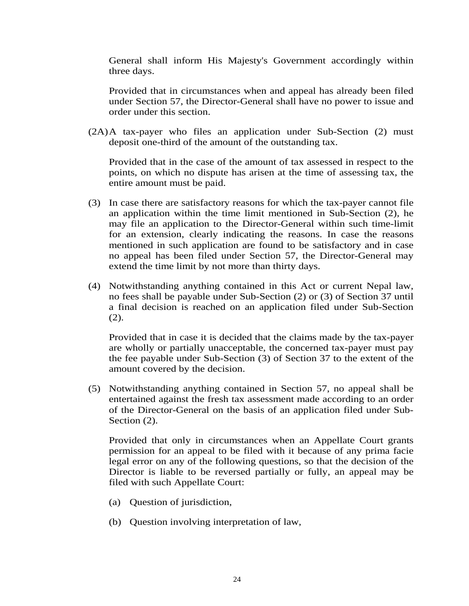General shall inform His Majesty's Government accordingly within three days.

Provided that in circumstances when and appeal has already been filed under Section 57, the Director-General shall have no power to issue and order under this section.

(2A) A tax-payer who files an application under Sub-Section (2) must deposit one-third of the amount of the outstanding tax.

 Provided that in the case of the amount of tax assessed in respect to the points, on which no dispute has arisen at the time of assessing tax, the entire amount must be paid.

- (3) In case there are satisfactory reasons for which the tax-payer cannot file an application within the time limit mentioned in Sub-Section (2), he may file an application to the Director-General within such time-limit for an extension, clearly indicating the reasons. In case the reasons mentioned in such application are found to be satisfactory and in case no appeal has been filed under Section 57, the Director-General may extend the time limit by not more than thirty days.
- (4) Notwithstanding anything contained in this Act or current Nepal law, no fees shall be payable under Sub-Section (2) or (3) of Section 37 until a final decision is reached on an application filed under Sub-Section (2).

Provided that in case it is decided that the claims made by the tax-payer are wholly or partially unacceptable, the concerned tax-payer must pay the fee payable under Sub-Section (3) of Section 37 to the extent of the amount covered by the decision.

(5) Notwithstanding anything contained in Section 57, no appeal shall be entertained against the fresh tax assessment made according to an order of the Director-General on the basis of an application filed under Sub-Section  $(2)$ .

Provided that only in circumstances when an Appellate Court grants permission for an appeal to be filed with it because of any prima facie legal error on any of the following questions, so that the decision of the Director is liable to be reversed partially or fully, an appeal may be filed with such Appellate Court:

- (a) Question of jurisdiction,
- (b) Question involving interpretation of law,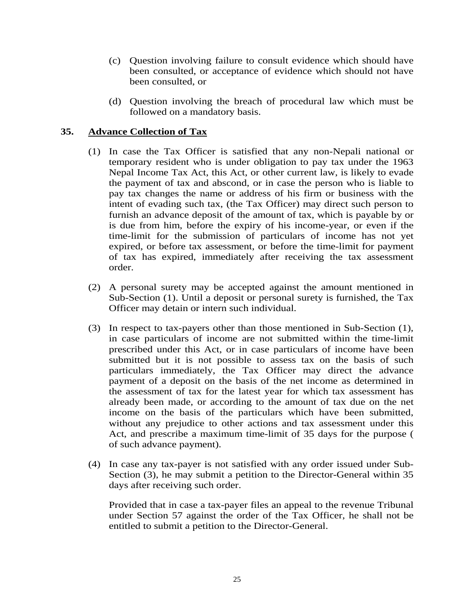- (c) Question involving failure to consult evidence which should have been consulted, or acceptance of evidence which should not have been consulted, or
- (d) Question involving the breach of procedural law which must be followed on a mandatory basis.

### **35. Advance Collection of Tax**

- (1) In case the Tax Officer is satisfied that any non-Nepali national or temporary resident who is under obligation to pay tax under the 1963 Nepal Income Tax Act, this Act, or other current law, is likely to evade the payment of tax and abscond, or in case the person who is liable to pay tax changes the name or address of his firm or business with the intent of evading such tax, (the Tax Officer) may direct such person to furnish an advance deposit of the amount of tax, which is payable by or is due from him, before the expiry of his income-year, or even if the time-limit for the submission of particulars of income has not yet expired, or before tax assessment, or before the time-limit for payment of tax has expired, immediately after receiving the tax assessment order.
- (2) A personal surety may be accepted against the amount mentioned in Sub-Section (1). Until a deposit or personal surety is furnished, the Tax Officer may detain or intern such individual.
- (3) In respect to tax-payers other than those mentioned in Sub-Section (1), in case particulars of income are not submitted within the time-limit prescribed under this Act, or in case particulars of income have been submitted but it is not possible to assess tax on the basis of such particulars immediately, the Tax Officer may direct the advance payment of a deposit on the basis of the net income as determined in the assessment of tax for the latest year for which tax assessment has already been made, or according to the amount of tax due on the net income on the basis of the particulars which have been submitted, without any prejudice to other actions and tax assessment under this Act, and prescribe a maximum time-limit of 35 days for the purpose ( of such advance payment).
- (4) In case any tax-payer is not satisfied with any order issued under Sub-Section (3), he may submit a petition to the Director-General within 35 days after receiving such order.

Provided that in case a tax-payer files an appeal to the revenue Tribunal under Section 57 against the order of the Tax Officer, he shall not be entitled to submit a petition to the Director-General.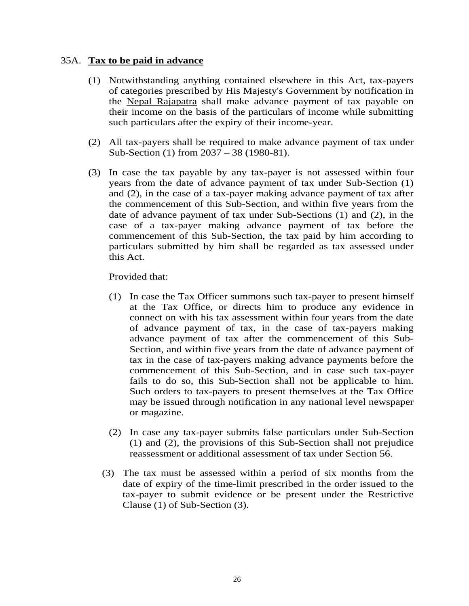### 35A. **Tax to be paid in advance**

- (1) Notwithstanding anything contained elsewhere in this Act, tax-payers of categories prescribed by His Majesty's Government by notification in the Nepal Rajapatra shall make advance payment of tax payable on their income on the basis of the particulars of income while submitting such particulars after the expiry of their income-year.
- (2) All tax-payers shall be required to make advance payment of tax under Sub-Section (1) from 2037 – 38 (1980-81).
- (3) In case the tax payable by any tax-payer is not assessed within four years from the date of advance payment of tax under Sub-Section (1) and (2), in the case of a tax-payer making advance payment of tax after the commencement of this Sub-Section, and within five years from the date of advance payment of tax under Sub-Sections (1) and (2), in the case of a tax-payer making advance payment of tax before the commencement of this Sub-Section, the tax paid by him according to particulars submitted by him shall be regarded as tax assessed under this Act.

### Provided that:

- (1) In case the Tax Officer summons such tax-payer to present himself at the Tax Office, or directs him to produce any evidence in connect on with his tax assessment within four years from the date of advance payment of tax, in the case of tax-payers making advance payment of tax after the commencement of this Sub-Section, and within five years from the date of advance payment of tax in the case of tax-payers making advance payments before the commencement of this Sub-Section, and in case such tax-payer fails to do so, this Sub-Section shall not be applicable to him. Such orders to tax-payers to present themselves at the Tax Office may be issued through notification in any national level newspaper or magazine.
- (2) In case any tax-payer submits false particulars under Sub-Section (1) and (2), the provisions of this Sub-Section shall not prejudice reassessment or additional assessment of tax under Section 56.
- (3) The tax must be assessed within a period of six months from the date of expiry of the time-limit prescribed in the order issued to the tax-payer to submit evidence or be present under the Restrictive Clause (1) of Sub-Section (3).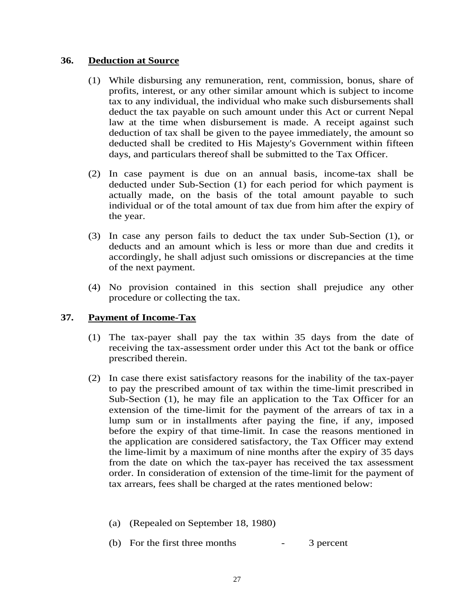#### **36. Deduction at Source**

- (1) While disbursing any remuneration, rent, commission, bonus, share of profits, interest, or any other similar amount which is subject to income tax to any individual, the individual who make such disbursements shall deduct the tax payable on such amount under this Act or current Nepal law at the time when disbursement is made. A receipt against such deduction of tax shall be given to the payee immediately, the amount so deducted shall be credited to His Majesty's Government within fifteen days, and particulars thereof shall be submitted to the Tax Officer.
- (2) In case payment is due on an annual basis, income-tax shall be deducted under Sub-Section (1) for each period for which payment is actually made, on the basis of the total amount payable to such individual or of the total amount of tax due from him after the expiry of the year.
- (3) In case any person fails to deduct the tax under Sub-Section (1), or deducts and an amount which is less or more than due and credits it accordingly, he shall adjust such omissions or discrepancies at the time of the next payment.
- (4) No provision contained in this section shall prejudice any other procedure or collecting the tax.

### **37. Payment of Income-Tax**

- (1) The tax-payer shall pay the tax within 35 days from the date of receiving the tax-assessment order under this Act tot the bank or office prescribed therein.
- (2) In case there exist satisfactory reasons for the inability of the tax-payer to pay the prescribed amount of tax within the time-limit prescribed in Sub-Section (1), he may file an application to the Tax Officer for an extension of the time-limit for the payment of the arrears of tax in a lump sum or in installments after paying the fine, if any, imposed before the expiry of that time-limit. In case the reasons mentioned in the application are considered satisfactory, the Tax Officer may extend the lime-limit by a maximum of nine months after the expiry of 35 days from the date on which the tax-payer has received the tax assessment order. In consideration of extension of the time-limit for the payment of tax arrears, fees shall be charged at the rates mentioned below:
	- (a) (Repealed on September 18, 1980)
	- (b) For the first three months 3 percent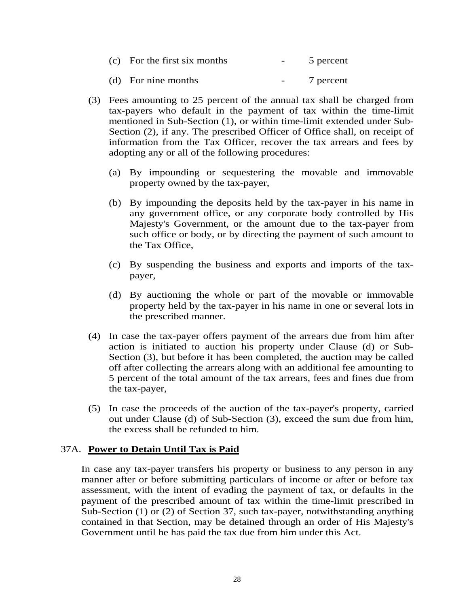| (c) For the first six months | $\sim$ $\sim$     | 5 percent |
|------------------------------|-------------------|-----------|
| (d) For nine months          | $\sim$ 100 $\sim$ | 7 percent |

- (3) Fees amounting to 25 percent of the annual tax shall be charged from tax-payers who default in the payment of tax within the time-limit mentioned in Sub-Section (1), or within time-limit extended under Sub-Section (2), if any. The prescribed Officer of Office shall, on receipt of information from the Tax Officer, recover the tax arrears and fees by adopting any or all of the following procedures:
	- (a) By impounding or sequestering the movable and immovable property owned by the tax-payer,
	- (b) By impounding the deposits held by the tax-payer in his name in any government office, or any corporate body controlled by His Majesty's Government, or the amount due to the tax-payer from such office or body, or by directing the payment of such amount to the Tax Office,
	- (c) By suspending the business and exports and imports of the taxpayer,
	- (d) By auctioning the whole or part of the movable or immovable property held by the tax-payer in his name in one or several lots in the prescribed manner.
- (4) In case the tax-payer offers payment of the arrears due from him after action is initiated to auction his property under Clause (d) or Sub-Section (3), but before it has been completed, the auction may be called off after collecting the arrears along with an additional fee amounting to 5 percent of the total amount of the tax arrears, fees and fines due from the tax-payer,
- (5) In case the proceeds of the auction of the tax-payer's property, carried out under Clause (d) of Sub-Section (3), exceed the sum due from him, the excess shall be refunded to him.

#### 37A. **Power to Detain Until Tax is Paid**

 In case any tax-payer transfers his property or business to any person in any manner after or before submitting particulars of income or after or before tax assessment, with the intent of evading the payment of tax, or defaults in the payment of the prescribed amount of tax within the time-limit prescribed in Sub-Section (1) or (2) of Section 37, such tax-payer, notwithstanding anything contained in that Section, may be detained through an order of His Majesty's Government until he has paid the tax due from him under this Act.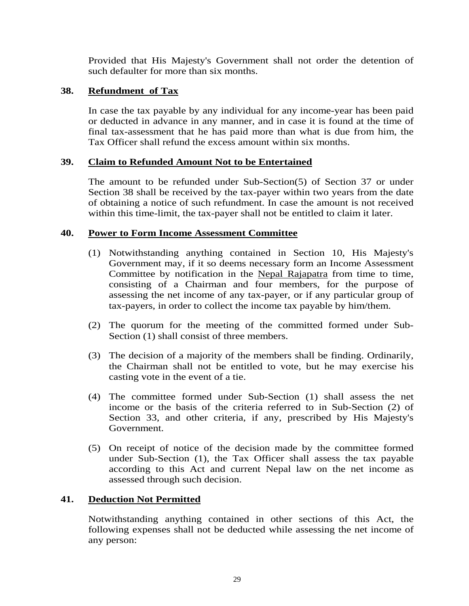Provided that His Majesty's Government shall not order the detention of such defaulter for more than six months.

### **38. Refundment of Tax**

In case the tax payable by any individual for any income-year has been paid or deducted in advance in any manner, and in case it is found at the time of final tax-assessment that he has paid more than what is due from him, the Tax Officer shall refund the excess amount within six months.

### **39. Claim to Refunded Amount Not to be Entertained**

The amount to be refunded under Sub-Section(5) of Section 37 or under Section 38 shall be received by the tax-payer within two years from the date of obtaining a notice of such refundment. In case the amount is not received within this time-limit, the tax-payer shall not be entitled to claim it later.

### **40. Power to Form Income Assessment Committee**

- (1) Notwithstanding anything contained in Section 10, His Majesty's Government may, if it so deems necessary form an Income Assessment Committee by notification in the Nepal Rajapatra from time to time, consisting of a Chairman and four members, for the purpose of assessing the net income of any tax-payer, or if any particular group of tax-payers, in order to collect the income tax payable by him/them.
- (2) The quorum for the meeting of the committed formed under Sub-Section (1) shall consist of three members.
- (3) The decision of a majority of the members shall be finding. Ordinarily, the Chairman shall not be entitled to vote, but he may exercise his casting vote in the event of a tie.
- (4) The committee formed under Sub-Section (1) shall assess the net income or the basis of the criteria referred to in Sub-Section (2) of Section 33, and other criteria, if any, prescribed by His Majesty's Government.
- (5) On receipt of notice of the decision made by the committee formed under Sub-Section (1), the Tax Officer shall assess the tax payable according to this Act and current Nepal law on the net income as assessed through such decision.

# **41. Deduction Not Permitted**

Notwithstanding anything contained in other sections of this Act, the following expenses shall not be deducted while assessing the net income of any person: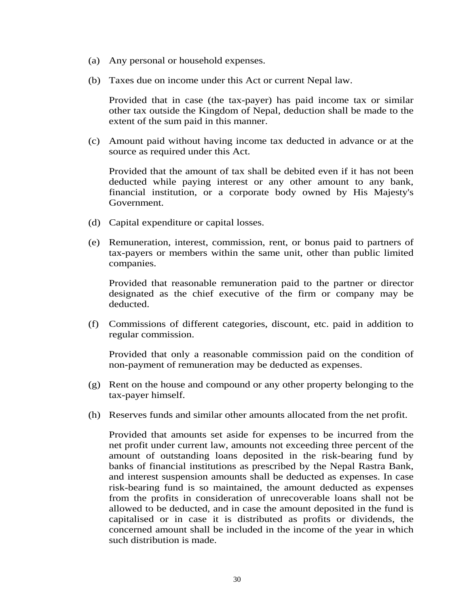- (a) Any personal or household expenses.
- (b) Taxes due on income under this Act or current Nepal law.

Provided that in case (the tax-payer) has paid income tax or similar other tax outside the Kingdom of Nepal, deduction shall be made to the extent of the sum paid in this manner.

(c) Amount paid without having income tax deducted in advance or at the source as required under this Act.

Provided that the amount of tax shall be debited even if it has not been deducted while paying interest or any other amount to any bank, financial institution, or a corporate body owned by His Majesty's Government.

- (d) Capital expenditure or capital losses.
- (e) Remuneration, interest, commission, rent, or bonus paid to partners of tax-payers or members within the same unit, other than public limited companies.

Provided that reasonable remuneration paid to the partner or director designated as the chief executive of the firm or company may be deducted.

(f) Commissions of different categories, discount, etc. paid in addition to regular commission.

Provided that only a reasonable commission paid on the condition of non-payment of remuneration may be deducted as expenses.

- (g) Rent on the house and compound or any other property belonging to the tax-payer himself.
- (h) Reserves funds and similar other amounts allocated from the net profit.

Provided that amounts set aside for expenses to be incurred from the net profit under current law, amounts not exceeding three percent of the amount of outstanding loans deposited in the risk-bearing fund by banks of financial institutions as prescribed by the Nepal Rastra Bank, and interest suspension amounts shall be deducted as expenses. In case risk-bearing fund is so maintained, the amount deducted as expenses from the profits in consideration of unrecoverable loans shall not be allowed to be deducted, and in case the amount deposited in the fund is capitalised or in case it is distributed as profits or dividends, the concerned amount shall be included in the income of the year in which such distribution is made.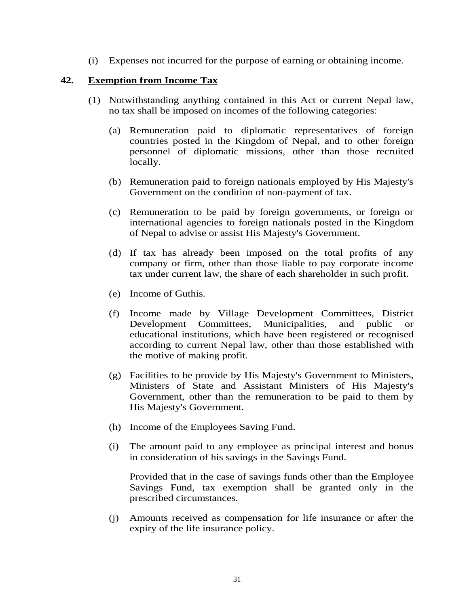(i) Expenses not incurred for the purpose of earning or obtaining income.

### **42. Exemption from Income Tax**

- (1) Notwithstanding anything contained in this Act or current Nepal law, no tax shall be imposed on incomes of the following categories:
	- (a) Remuneration paid to diplomatic representatives of foreign countries posted in the Kingdom of Nepal, and to other foreign personnel of diplomatic missions, other than those recruited locally.
	- (b) Remuneration paid to foreign nationals employed by His Majesty's Government on the condition of non-payment of tax.
	- (c) Remuneration to be paid by foreign governments, or foreign or international agencies to foreign nationals posted in the Kingdom of Nepal to advise or assist His Majesty's Government.
	- (d) If tax has already been imposed on the total profits of any company or firm, other than those liable to pay corporate income tax under current law, the share of each shareholder in such profit.
	- (e) Income of Guthis.
	- (f) Income made by Village Development Committees, District Development Committees, Municipalities, and public or educational institutions, which have been registered or recognised according to current Nepal law, other than those established with the motive of making profit.
	- (g) Facilities to be provide by His Majesty's Government to Ministers, Ministers of State and Assistant Ministers of His Majesty's Government, other than the remuneration to be paid to them by His Majesty's Government.
	- (h) Income of the Employees Saving Fund.
	- (i) The amount paid to any employee as principal interest and bonus in consideration of his savings in the Savings Fund.

Provided that in the case of savings funds other than the Employee Savings Fund, tax exemption shall be granted only in the prescribed circumstances.

(j) Amounts received as compensation for life insurance or after the expiry of the life insurance policy.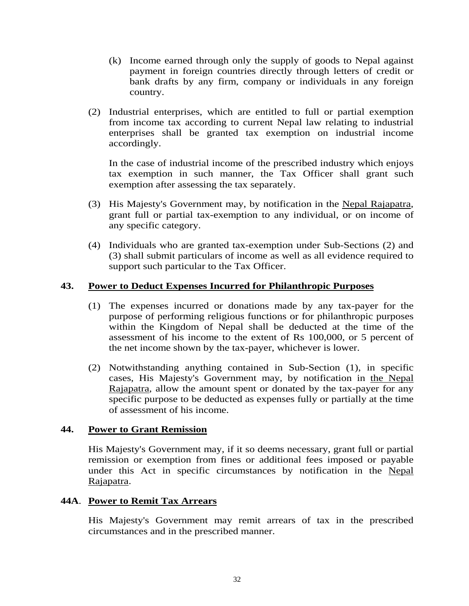- (k) Income earned through only the supply of goods to Nepal against payment in foreign countries directly through letters of credit or bank drafts by any firm, company or individuals in any foreign country.
- (2) Industrial enterprises, which are entitled to full or partial exemption from income tax according to current Nepal law relating to industrial enterprises shall be granted tax exemption on industrial income accordingly.

In the case of industrial income of the prescribed industry which enjoys tax exemption in such manner, the Tax Officer shall grant such exemption after assessing the tax separately.

- (3) His Majesty's Government may, by notification in the Nepal Rajapatra, grant full or partial tax-exemption to any individual, or on income of any specific category.
- (4) Individuals who are granted tax-exemption under Sub-Sections (2) and (3) shall submit particulars of income as well as all evidence required to support such particular to the Tax Officer.

### **43. Power to Deduct Expenses Incurred for Philanthropic Purposes**

- (1) The expenses incurred or donations made by any tax-payer for the purpose of performing religious functions or for philanthropic purposes within the Kingdom of Nepal shall be deducted at the time of the assessment of his income to the extent of Rs 100,000, or 5 percent of the net income shown by the tax-payer, whichever is lower.
- (2) Notwithstanding anything contained in Sub-Section (1), in specific cases, His Majesty's Government may, by notification in the Nepal Rajapatra, allow the amount spent or donated by the tax-payer for any specific purpose to be deducted as expenses fully or partially at the time of assessment of his income.

#### **44. Power to Grant Remission**

His Majesty's Government may, if it so deems necessary, grant full or partial remission or exemption from fines or additional fees imposed or payable under this Act in specific circumstances by notification in the Nepal Rajapatra.

### **44A**. **Power to Remit Tax Arrears**

 His Majesty's Government may remit arrears of tax in the prescribed circumstances and in the prescribed manner.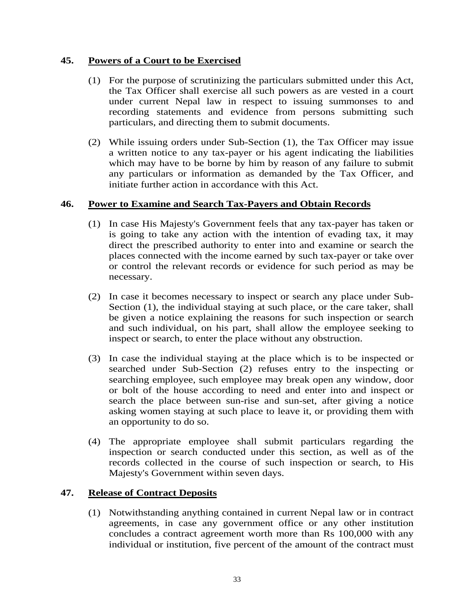### **45. Powers of a Court to be Exercised**

- (1) For the purpose of scrutinizing the particulars submitted under this Act, the Tax Officer shall exercise all such powers as are vested in a court under current Nepal law in respect to issuing summonses to and recording statements and evidence from persons submitting such particulars, and directing them to submit documents.
- (2) While issuing orders under Sub-Section (1), the Tax Officer may issue a written notice to any tax-payer or his agent indicating the liabilities which may have to be borne by him by reason of any failure to submit any particulars or information as demanded by the Tax Officer, and initiate further action in accordance with this Act.

### **46. Power to Examine and Search Tax-Payers and Obtain Records**

- (1) In case His Majesty's Government feels that any tax-payer has taken or is going to take any action with the intention of evading tax, it may direct the prescribed authority to enter into and examine or search the places connected with the income earned by such tax-payer or take over or control the relevant records or evidence for such period as may be necessary.
- (2) In case it becomes necessary to inspect or search any place under Sub-Section (1), the individual staying at such place, or the care taker, shall be given a notice explaining the reasons for such inspection or search and such individual, on his part, shall allow the employee seeking to inspect or search, to enter the place without any obstruction.
- (3) In case the individual staying at the place which is to be inspected or searched under Sub-Section (2) refuses entry to the inspecting or searching employee, such employee may break open any window, door or bolt of the house according to need and enter into and inspect or search the place between sun-rise and sun-set, after giving a notice asking women staying at such place to leave it, or providing them with an opportunity to do so.
- (4) The appropriate employee shall submit particulars regarding the inspection or search conducted under this section, as well as of the records collected in the course of such inspection or search, to His Majesty's Government within seven days.

### **47. Release of Contract Deposits**

(1) Notwithstanding anything contained in current Nepal law or in contract agreements, in case any government office or any other institution concludes a contract agreement worth more than Rs 100,000 with any individual or institution, five percent of the amount of the contract must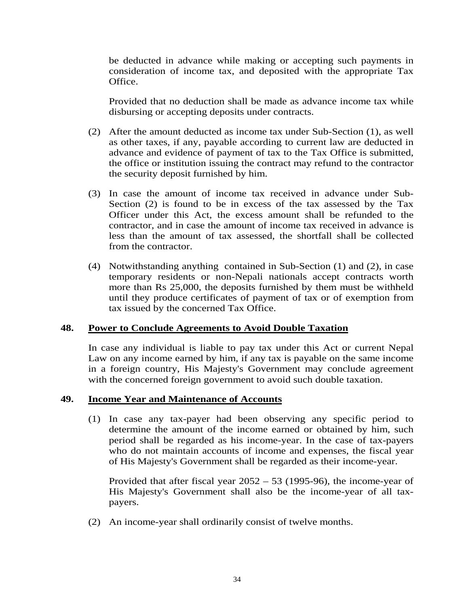be deducted in advance while making or accepting such payments in consideration of income tax, and deposited with the appropriate Tax Office.

Provided that no deduction shall be made as advance income tax while disbursing or accepting deposits under contracts.

- (2) After the amount deducted as income tax under Sub-Section (1), as well as other taxes, if any, payable according to current law are deducted in advance and evidence of payment of tax to the Tax Office is submitted, the office or institution issuing the contract may refund to the contractor the security deposit furnished by him.
- (3) In case the amount of income tax received in advance under Sub-Section (2) is found to be in excess of the tax assessed by the Tax Officer under this Act, the excess amount shall be refunded to the contractor, and in case the amount of income tax received in advance is less than the amount of tax assessed, the shortfall shall be collected from the contractor.
- (4) Notwithstanding anything contained in Sub-Section (1) and (2), in case temporary residents or non-Nepali nationals accept contracts worth more than Rs 25,000, the deposits furnished by them must be withheld until they produce certificates of payment of tax or of exemption from tax issued by the concerned Tax Office.

#### **48. Power to Conclude Agreements to Avoid Double Taxation**

In case any individual is liable to pay tax under this Act or current Nepal Law on any income earned by him, if any tax is payable on the same income in a foreign country, His Majesty's Government may conclude agreement with the concerned foreign government to avoid such double taxation.

#### **49. Income Year and Maintenance of Accounts**

(1) In case any tax-payer had been observing any specific period to determine the amount of the income earned or obtained by him, such period shall be regarded as his income-year. In the case of tax-payers who do not maintain accounts of income and expenses, the fiscal year of His Majesty's Government shall be regarded as their income-year.

Provided that after fiscal year  $2052 - 53$  (1995-96), the income-year of His Majesty's Government shall also be the income-year of all taxpayers.

(2) An income-year shall ordinarily consist of twelve months.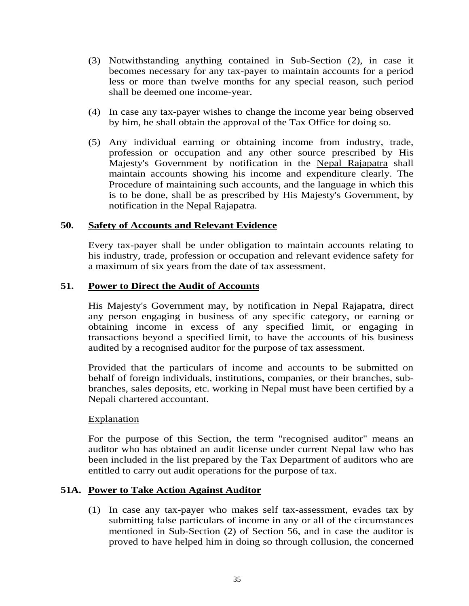- (3) Notwithstanding anything contained in Sub-Section (2), in case it becomes necessary for any tax-payer to maintain accounts for a period less or more than twelve months for any special reason, such period shall be deemed one income-year.
- (4) In case any tax-payer wishes to change the income year being observed by him, he shall obtain the approval of the Tax Office for doing so.
- (5) Any individual earning or obtaining income from industry, trade, profession or occupation and any other source prescribed by His Majesty's Government by notification in the Nepal Rajapatra shall maintain accounts showing his income and expenditure clearly. The Procedure of maintaining such accounts, and the language in which this is to be done, shall be as prescribed by His Majesty's Government, by notification in the Nepal Rajapatra.

### **50. Safety of Accounts and Relevant Evidence**

Every tax-payer shall be under obligation to maintain accounts relating to his industry, trade, profession or occupation and relevant evidence safety for a maximum of six years from the date of tax assessment.

### **51. Power to Direct the Audit of Accounts**

His Majesty's Government may, by notification in Nepal Rajapatra, direct any person engaging in business of any specific category, or earning or obtaining income in excess of any specified limit, or engaging in transactions beyond a specified limit, to have the accounts of his business audited by a recognised auditor for the purpose of tax assessment.

Provided that the particulars of income and accounts to be submitted on behalf of foreign individuals, institutions, companies, or their branches, subbranches, sales deposits, etc. working in Nepal must have been certified by a Nepali chartered accountant.

#### **Explanation**

For the purpose of this Section, the term "recognised auditor" means an auditor who has obtained an audit license under current Nepal law who has been included in the list prepared by the Tax Department of auditors who are entitled to carry out audit operations for the purpose of tax.

#### **51A. Power to Take Action Against Auditor**

(1) In case any tax-payer who makes self tax-assessment, evades tax by submitting false particulars of income in any or all of the circumstances mentioned in Sub-Section (2) of Section 56, and in case the auditor is proved to have helped him in doing so through collusion, the concerned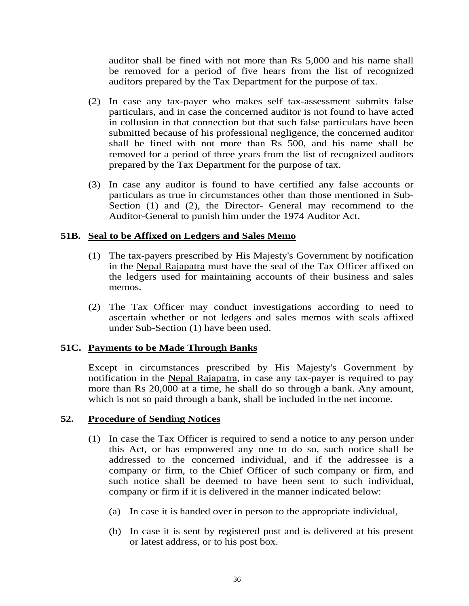auditor shall be fined with not more than Rs 5,000 and his name shall be removed for a period of five hears from the list of recognized auditors prepared by the Tax Department for the purpose of tax.

- (2) In case any tax-payer who makes self tax-assessment submits false particulars, and in case the concerned auditor is not found to have acted in collusion in that connection but that such false particulars have been submitted because of his professional negligence, the concerned auditor shall be fined with not more than Rs 500, and his name shall be removed for a period of three years from the list of recognized auditors prepared by the Tax Department for the purpose of tax.
- (3) In case any auditor is found to have certified any false accounts or particulars as true in circumstances other than those mentioned in Sub-Section (1) and (2), the Director- General may recommend to the Auditor-General to punish him under the 1974 Auditor Act.

### **51B. Seal to be Affixed on Ledgers and Sales Memo**

- (1) The tax-payers prescribed by His Majesty's Government by notification in the Nepal Rajapatra must have the seal of the Tax Officer affixed on the ledgers used for maintaining accounts of their business and sales memos.
- (2) The Tax Officer may conduct investigations according to need to ascertain whether or not ledgers and sales memos with seals affixed under Sub-Section (1) have been used.

### **51C. Payments to be Made Through Banks**

Except in circumstances prescribed by His Majesty's Government by notification in the Nepal Rajapatra, in case any tax-payer is required to pay more than Rs 20,000 at a time, he shall do so through a bank. Any amount, which is not so paid through a bank, shall be included in the net income.

#### **52. Procedure of Sending Notices**

- (1) In case the Tax Officer is required to send a notice to any person under this Act, or has empowered any one to do so, such notice shall be addressed to the concerned individual, and if the addressee is a company or firm, to the Chief Officer of such company or firm, and such notice shall be deemed to have been sent to such individual, company or firm if it is delivered in the manner indicated below:
	- (a) In case it is handed over in person to the appropriate individual,
	- (b) In case it is sent by registered post and is delivered at his present or latest address, or to his post box.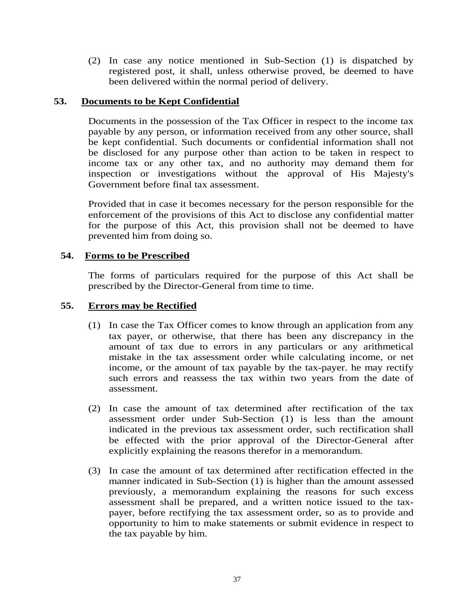(2) In case any notice mentioned in Sub-Section (1) is dispatched by registered post, it shall, unless otherwise proved, be deemed to have been delivered within the normal period of delivery.

#### **53. Documents to be Kept Confidential**

Documents in the possession of the Tax Officer in respect to the income tax payable by any person, or information received from any other source, shall be kept confidential. Such documents or confidential information shall not be disclosed for any purpose other than action to be taken in respect to income tax or any other tax, and no authority may demand them for inspection or investigations without the approval of His Majesty's Government before final tax assessment.

Provided that in case it becomes necessary for the person responsible for the enforcement of the provisions of this Act to disclose any confidential matter for the purpose of this Act, this provision shall not be deemed to have prevented him from doing so.

### **54. Forms to be Prescribed**

The forms of particulars required for the purpose of this Act shall be prescribed by the Director-General from time to time.

### **55. Errors may be Rectified**

- (1) In case the Tax Officer comes to know through an application from any tax payer, or otherwise, that there has been any discrepancy in the amount of tax due to errors in any particulars or any arithmetical mistake in the tax assessment order while calculating income, or net income, or the amount of tax payable by the tax-payer. he may rectify such errors and reassess the tax within two years from the date of assessment.
- (2) In case the amount of tax determined after rectification of the tax assessment order under Sub-Section (1) is less than the amount indicated in the previous tax assessment order, such rectification shall be effected with the prior approval of the Director-General after explicitly explaining the reasons therefor in a memorandum.
- (3) In case the amount of tax determined after rectification effected in the manner indicated in Sub-Section (1) is higher than the amount assessed previously, a memorandum explaining the reasons for such excess assessment shall be prepared, and a written notice issued to the taxpayer, before rectifying the tax assessment order, so as to provide and opportunity to him to make statements or submit evidence in respect to the tax payable by him.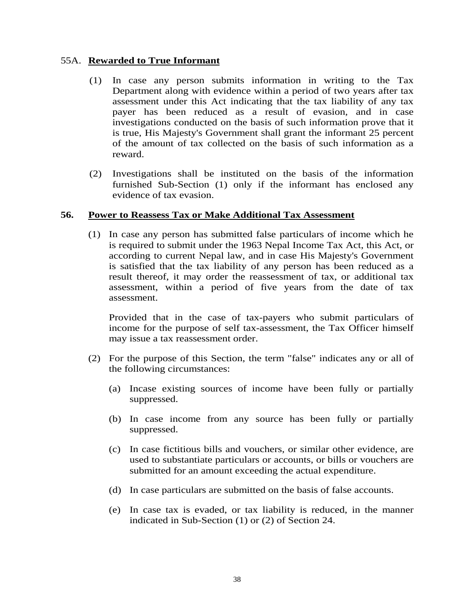#### 55A. **Rewarded to True Informant**

- (1) In case any person submits information in writing to the Tax Department along with evidence within a period of two years after tax assessment under this Act indicating that the tax liability of any tax payer has been reduced as a result of evasion, and in case investigations conducted on the basis of such information prove that it is true, His Majesty's Government shall grant the informant 25 percent of the amount of tax collected on the basis of such information as a reward.
- (2) Investigations shall be instituted on the basis of the information furnished Sub-Section (1) only if the informant has enclosed any evidence of tax evasion.

#### **56. Power to Reassess Tax or Make Additional Tax Assessment**

(1) In case any person has submitted false particulars of income which he is required to submit under the 1963 Nepal Income Tax Act, this Act, or according to current Nepal law, and in case His Majesty's Government is satisfied that the tax liability of any person has been reduced as a result thereof, it may order the reassessment of tax, or additional tax assessment, within a period of five years from the date of tax assessment.

Provided that in the case of tax-payers who submit particulars of income for the purpose of self tax-assessment, the Tax Officer himself may issue a tax reassessment order.

- (2) For the purpose of this Section, the term "false" indicates any or all of the following circumstances:
	- (a) Incase existing sources of income have been fully or partially suppressed.
	- (b) In case income from any source has been fully or partially suppressed.
	- (c) In case fictitious bills and vouchers, or similar other evidence, are used to substantiate particulars or accounts, or bills or vouchers are submitted for an amount exceeding the actual expenditure.
	- (d) In case particulars are submitted on the basis of false accounts.
	- (e) In case tax is evaded, or tax liability is reduced, in the manner indicated in Sub-Section (1) or (2) of Section 24.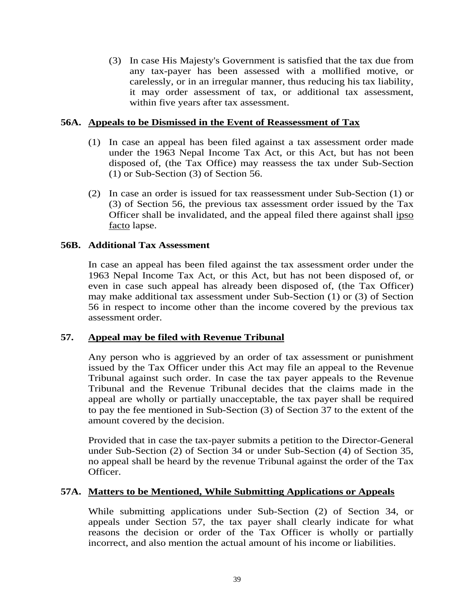(3) In case His Majesty's Government is satisfied that the tax due from any tax-payer has been assessed with a mollified motive, or carelessly, or in an irregular manner, thus reducing his tax liability, it may order assessment of tax, or additional tax assessment, within five years after tax assessment.

#### **56A. Appeals to be Dismissed in the Event of Reassessment of Tax**

- (1) In case an appeal has been filed against a tax assessment order made under the 1963 Nepal Income Tax Act, or this Act, but has not been disposed of, (the Tax Office) may reassess the tax under Sub-Section (1) or Sub-Section (3) of Section 56.
- (2) In case an order is issued for tax reassessment under Sub-Section (1) or (3) of Section 56, the previous tax assessment order issued by the Tax Officer shall be invalidated, and the appeal filed there against shall ipso facto lapse.

### **56B. Additional Tax Assessment**

 In case an appeal has been filed against the tax assessment order under the 1963 Nepal Income Tax Act, or this Act, but has not been disposed of, or even in case such appeal has already been disposed of, (the Tax Officer) may make additional tax assessment under Sub-Section (1) or (3) of Section 56 in respect to income other than the income covered by the previous tax assessment order.

### **57. Appeal may be filed with Revenue Tribunal**

Any person who is aggrieved by an order of tax assessment or punishment issued by the Tax Officer under this Act may file an appeal to the Revenue Tribunal against such order. In case the tax payer appeals to the Revenue Tribunal and the Revenue Tribunal decides that the claims made in the appeal are wholly or partially unacceptable, the tax payer shall be required to pay the fee mentioned in Sub-Section (3) of Section 37 to the extent of the amount covered by the decision.

Provided that in case the tax-payer submits a petition to the Director-General under Sub-Section (2) of Section 34 or under Sub-Section (4) of Section 35, no appeal shall be heard by the revenue Tribunal against the order of the Tax Officer.

### **57A. Matters to be Mentioned, While Submitting Applications or Appeals**

 While submitting applications under Sub-Section (2) of Section 34, or appeals under Section 57, the tax payer shall clearly indicate for what reasons the decision or order of the Tax Officer is wholly or partially incorrect, and also mention the actual amount of his income or liabilities.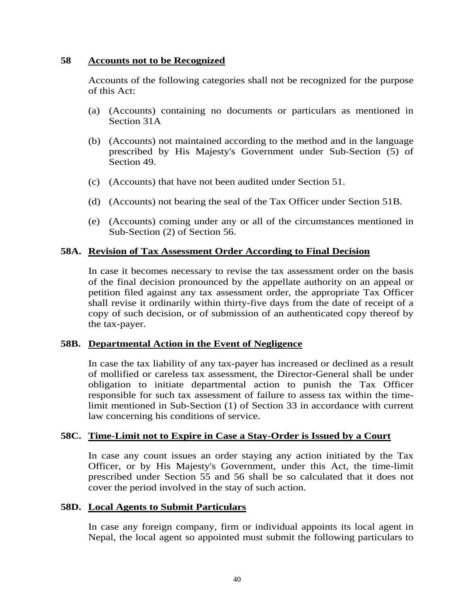#### **58 Accounts not to be Recognized**

Accounts of the following categories shall not be recognized for the purpose of this Act:

- (a) (Accounts) containing no documents or particulars as mentioned in Section 31A
- (b) (Accounts) not maintained according to the method and in the language prescribed by His Majesty's Government under Sub-Section (5) of Section 49.
- (c) (Accounts) that have not been audited under Section 51.
- (d) (Accounts) not bearing the seal of the Tax Officer under Section 51B.
- (e) (Accounts) coming under any or all of the circumstances mentioned in Sub-Section (2) of Section 56.

### **58A. Revision of Tax Assessment Order According to Final Decision**

 In case it becomes necessary to revise the tax assessment order on the basis of the final decision pronounced by the appellate authority on an appeal or petition filed against any tax assessment order, the appropriate Tax Officer shall revise it ordinarily within thirty-five days from the date of receipt of a copy of such decision, or of submission of an authenticated copy thereof by the tax-payer.

### **58B. Departmental Action in the Event of Negligence**

 In case the tax liability of any tax-payer has increased or declined as a result of mollified or careless tax assessment, the Director-General shall be under obligation to initiate departmental action to punish the Tax Officer responsible for such tax assessment of failure to assess tax within the timelimit mentioned in Sub-Section (1) of Section 33 in accordance with current law concerning his conditions of service.

#### **58C. Time-Limit not to Expire in Case a Stay-Order is Issued by a Court**

 In case any count issues an order staying any action initiated by the Tax Officer, or by His Majesty's Government, under this Act, the time-limit prescribed under Section 55 and 56 shall be so calculated that it does not cover the period involved in the stay of such action.

#### **58D. Local Agents to Submit Particulars**

 In case any foreign company, firm or individual appoints its local agent in Nepal, the local agent so appointed must submit the following particulars to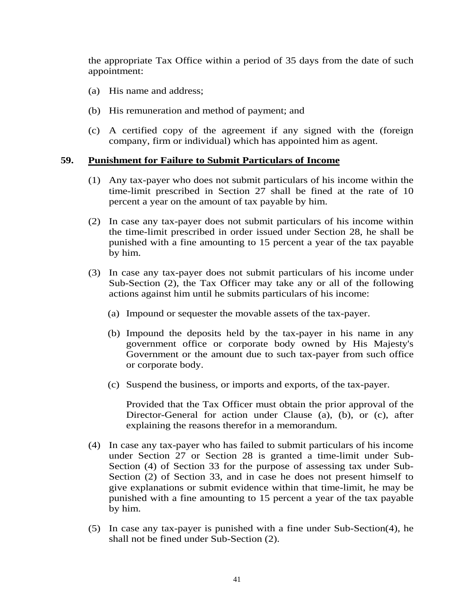the appropriate Tax Office within a period of 35 days from the date of such appointment:

- (a) His name and address;
- (b) His remuneration and method of payment; and
- (c) A certified copy of the agreement if any signed with the (foreign company, firm or individual) which has appointed him as agent.

#### **59. Punishment for Failure to Submit Particulars of Income**

- (1) Any tax-payer who does not submit particulars of his income within the time-limit prescribed in Section 27 shall be fined at the rate of 10 percent a year on the amount of tax payable by him.
- (2) In case any tax-payer does not submit particulars of his income within the time-limit prescribed in order issued under Section 28, he shall be punished with a fine amounting to 15 percent a year of the tax payable by him.
- (3) In case any tax-payer does not submit particulars of his income under Sub-Section (2), the Tax Officer may take any or all of the following actions against him until he submits particulars of his income:
	- (a) Impound or sequester the movable assets of the tax-payer.
	- (b) Impound the deposits held by the tax-payer in his name in any government office or corporate body owned by His Majesty's Government or the amount due to such tax-payer from such office or corporate body.
	- (c) Suspend the business, or imports and exports, of the tax-payer.

 Provided that the Tax Officer must obtain the prior approval of the Director-General for action under Clause (a), (b), or (c), after explaining the reasons therefor in a memorandum.

- (4) In case any tax-payer who has failed to submit particulars of his income under Section 27 or Section 28 is granted a time-limit under Sub-Section (4) of Section 33 for the purpose of assessing tax under Sub-Section (2) of Section 33, and in case he does not present himself to give explanations or submit evidence within that time-limit, he may be punished with a fine amounting to 15 percent a year of the tax payable by him.
- (5) In case any tax-payer is punished with a fine under Sub-Section(4), he shall not be fined under Sub-Section (2).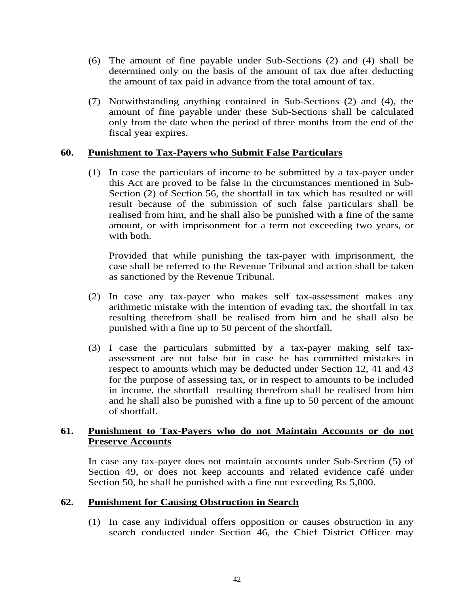- (6) The amount of fine payable under Sub-Sections (2) and (4) shall be determined only on the basis of the amount of tax due after deducting the amount of tax paid in advance from the total amount of tax.
- (7) Notwithstanding anything contained in Sub-Sections (2) and (4), the amount of fine payable under these Sub-Sections shall be calculated only from the date when the period of three months from the end of the fiscal year expires.

#### **60. Punishment to Tax-Payers who Submit False Particulars**

(1) In case the particulars of income to be submitted by a tax-payer under this Act are proved to be false in the circumstances mentioned in Sub-Section (2) of Section 56, the shortfall in tax which has resulted or will result because of the submission of such false particulars shall be realised from him, and he shall also be punished with a fine of the same amount, or with imprisonment for a term not exceeding two years, or with both.

Provided that while punishing the tax-payer with imprisonment, the case shall be referred to the Revenue Tribunal and action shall be taken as sanctioned by the Revenue Tribunal.

- (2) In case any tax-payer who makes self tax-assessment makes any arithmetic mistake with the intention of evading tax, the shortfall in tax resulting therefrom shall be realised from him and he shall also be punished with a fine up to 50 percent of the shortfall.
- (3) I case the particulars submitted by a tax-payer making self taxassessment are not false but in case he has committed mistakes in respect to amounts which may be deducted under Section 12, 41 and 43 for the purpose of assessing tax, or in respect to amounts to be included in income, the shortfall resulting therefrom shall be realised from him and he shall also be punished with a fine up to 50 percent of the amount of shortfall.

### **61. Punishment to Tax-Payers who do not Maintain Accounts or do not Preserve Accounts**

In case any tax-payer does not maintain accounts under Sub-Section (5) of Section 49, or does not keep accounts and related evidence café under Section 50, he shall be punished with a fine not exceeding Rs 5,000.

#### **62. Punishment for Causing Obstruction in Search**

(1) In case any individual offers opposition or causes obstruction in any search conducted under Section 46, the Chief District Officer may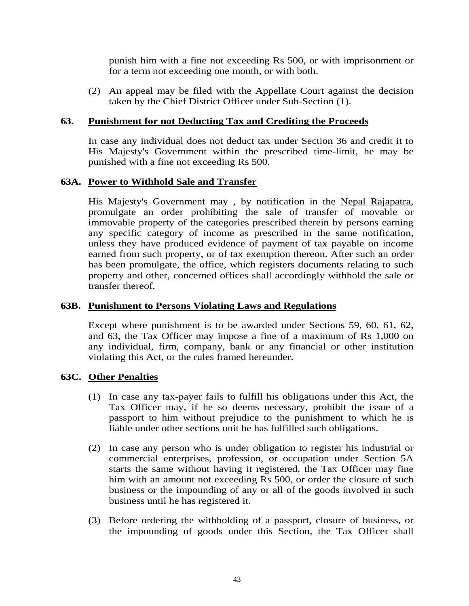punish him with a fine not exceeding Rs 500, or with imprisonment or for a term not exceeding one month, or with both.

(2) An appeal may be filed with the Appellate Court against the decision taken by the Chief District Officer under Sub-Section (1).

### **63. Punishment for not Deducting Tax and Crediting the Proceeds**

In case any individual does not deduct tax under Section 36 and credit it to His Majesty's Government within the prescribed time-limit, he may be punished with a fine not exceeding Rs 500.

#### **63A. Power to Withhold Sale and Transfer**

His Majesty's Government may, by notification in the Nepal Rajapatra, promulgate an order prohibiting the sale of transfer of movable or immovable property of the categories prescribed therein by persons earning any specific category of income as prescribed in the same notification, unless they have produced evidence of payment of tax payable on income earned from such property, or of tax exemption thereon. After such an order has been promulgate, the office, which registers documents relating to such property and other, concerned offices shall accordingly withhold the sale or transfer thereof.

#### **63B. Punishment to Persons Violating Laws and Regulations**

 Except where punishment is to be awarded under Sections 59, 60, 61, 62, and 63, the Tax Officer may impose a fine of a maximum of Rs 1,000 on any individual, firm, company, bank or any financial or other institution violating this Act, or the rules framed hereunder.

#### **63C. Other Penalties**

- (1) In case any tax-payer fails to fulfill his obligations under this Act, the Tax Officer may, if he so deems necessary, prohibit the issue of a passport to him without prejudice to the punishment to which he is liable under other sections unit he has fulfilled such obligations.
- (2) In case any person who is under obligation to register his industrial or commercial enterprises, profession, or occupation under Section 5A starts the same without having it registered, the Tax Officer may fine him with an amount not exceeding Rs 500, or order the closure of such business or the impounding of any or all of the goods involved in such business until he has registered it.
- (3) Before ordering the withholding of a passport, closure of business, or the impounding of goods under this Section, the Tax Officer shall